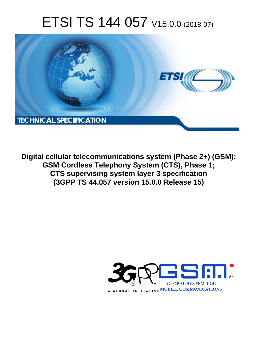# ETSI TS 144 057 V15.0.0 (2018-07)



**Digital cellular telecommunications system (Phase 2+) (GSM); GSM Cordless Telephony System (CTS), Phase 1; CTS supervising system layer 3 specification (3GPP TS 44.057 version 15.0.0 Release 15)** 

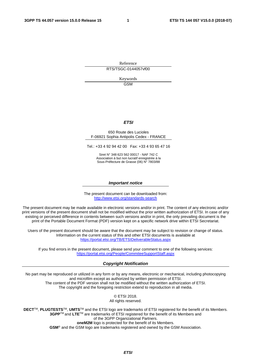Reference

RTS/TSGC-0144057vf00

Keywords GSM

#### *ETSI*

#### 650 Route des Lucioles F-06921 Sophia Antipolis Cedex - FRANCE

Tel.: +33 4 92 94 42 00 Fax: +33 4 93 65 47 16

Siret N° 348 623 562 00017 - NAF 742 C Association à but non lucratif enregistrée à la Sous-Préfecture de Grasse (06) N° 7803/88

#### *Important notice*

The present document can be downloaded from: <http://www.etsi.org/standards-search>

The present document may be made available in electronic versions and/or in print. The content of any electronic and/or print versions of the present document shall not be modified without the prior written authorization of ETSI. In case of any existing or perceived difference in contents between such versions and/or in print, the only prevailing document is the print of the Portable Document Format (PDF) version kept on a specific network drive within ETSI Secretariat.

Users of the present document should be aware that the document may be subject to revision or change of status. Information on the current status of this and other ETSI documents is available at <https://portal.etsi.org/TB/ETSIDeliverableStatus.aspx>

If you find errors in the present document, please send your comment to one of the following services: <https://portal.etsi.org/People/CommiteeSupportStaff.aspx>

#### *Copyright Notification*

No part may be reproduced or utilized in any form or by any means, electronic or mechanical, including photocopying and microfilm except as authorized by written permission of ETSI. The content of the PDF version shall not be modified without the written authorization of ETSI. The copyright and the foregoing restriction extend to reproduction in all media.

> © ETSI 2018. All rights reserved.

**DECT**TM, **PLUGTESTS**TM, **UMTS**TM and the ETSI logo are trademarks of ETSI registered for the benefit of its Members. **3GPP**TM and **LTE**TM are trademarks of ETSI registered for the benefit of its Members and of the 3GPP Organizational Partners. **oneM2M** logo is protected for the benefit of its Members.

**GSM**® and the GSM logo are trademarks registered and owned by the GSM Association.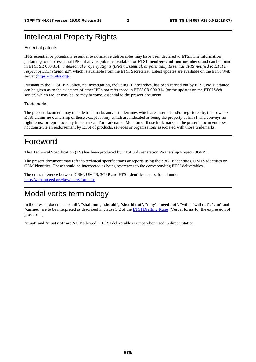## Intellectual Property Rights

#### Essential patents

IPRs essential or potentially essential to normative deliverables may have been declared to ETSI. The information pertaining to these essential IPRs, if any, is publicly available for **ETSI members and non-members**, and can be found in ETSI SR 000 314: *"Intellectual Property Rights (IPRs); Essential, or potentially Essential, IPRs notified to ETSI in respect of ETSI standards"*, which is available from the ETSI Secretariat. Latest updates are available on the ETSI Web server ([https://ipr.etsi.org/\)](https://ipr.etsi.org/).

Pursuant to the ETSI IPR Policy, no investigation, including IPR searches, has been carried out by ETSI. No guarantee can be given as to the existence of other IPRs not referenced in ETSI SR 000 314 (or the updates on the ETSI Web server) which are, or may be, or may become, essential to the present document.

#### **Trademarks**

The present document may include trademarks and/or tradenames which are asserted and/or registered by their owners. ETSI claims no ownership of these except for any which are indicated as being the property of ETSI, and conveys no right to use or reproduce any trademark and/or tradename. Mention of those trademarks in the present document does not constitute an endorsement by ETSI of products, services or organizations associated with those trademarks.

## Foreword

This Technical Specification (TS) has been produced by ETSI 3rd Generation Partnership Project (3GPP).

The present document may refer to technical specifications or reports using their 3GPP identities, UMTS identities or GSM identities. These should be interpreted as being references to the corresponding ETSI deliverables.

The cross reference between GSM, UMTS, 3GPP and ETSI identities can be found under [http://webapp.etsi.org/key/queryform.asp.](http://webapp.etsi.org/key/queryform.asp)

## Modal verbs terminology

In the present document "**shall**", "**shall not**", "**should**", "**should not**", "**may**", "**need not**", "**will**", "**will not**", "**can**" and "**cannot**" are to be interpreted as described in clause 3.2 of the [ETSI Drafting Rules](https://portal.etsi.org/Services/editHelp!/Howtostart/ETSIDraftingRules.aspx) (Verbal forms for the expression of provisions).

"**must**" and "**must not**" are **NOT** allowed in ETSI deliverables except when used in direct citation.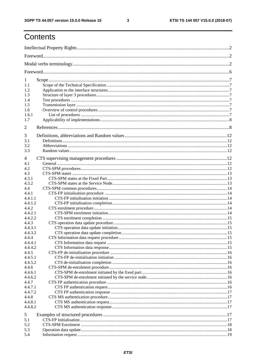$\mathbf{3}$ 

## Contents

| 1                  |  |
|--------------------|--|
| 1.1                |  |
| 1.2                |  |
| 1.3                |  |
| 1.4                |  |
| 1.5                |  |
| 1.6                |  |
| 1.6.1              |  |
| 1.7                |  |
| $\overline{2}$     |  |
| 3                  |  |
| 3.1                |  |
| 3.2                |  |
| 3.3                |  |
| 4                  |  |
| 4.1                |  |
| 4.2                |  |
| 4.3                |  |
| 4.3.1              |  |
| 4.3.2              |  |
| 4.4                |  |
| 4.4.1              |  |
| 4.4.1.1            |  |
| 4.4.1.2            |  |
| 4.4.2              |  |
| 4.4.2.1            |  |
| 4.4.2.2            |  |
| 4.4.3<br>4.4.3.1   |  |
| 4.4.3.2            |  |
| 4.4.4              |  |
| 4.4.4.1            |  |
| 4.4.4.2            |  |
| 4.4.5              |  |
| 4.4.5.1            |  |
| 4.4.5.2            |  |
| 4.4.6              |  |
| 4.4.6.1            |  |
| 4.4.6.2            |  |
| 4.4.7              |  |
| 4.4.7.1            |  |
| 4.4.7.2            |  |
| 4.4.8              |  |
| 4.4.8.1<br>4.4.8.2 |  |
|                    |  |
| 5                  |  |
| 5.1                |  |
| 5.2                |  |
| 5.3                |  |
| 5.4                |  |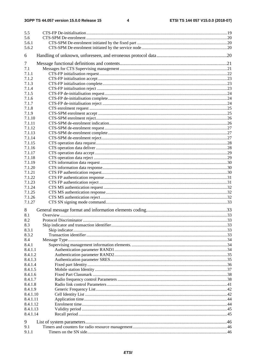| 5.5      |  |
|----------|--|
| 5.6      |  |
| 5.6.1    |  |
| 5.6.2    |  |
| 6        |  |
| 7        |  |
| 7.1      |  |
| 7.1.1    |  |
| 7.1.2    |  |
| 7.1.3    |  |
| 7.1.4    |  |
| 7.1.5    |  |
| 7.1.6    |  |
| 7.1.7    |  |
| 7.1.8    |  |
| 7.1.9    |  |
| 7.1.10   |  |
| 7.1.11   |  |
| 7.1.12   |  |
| 7.1.13   |  |
| 7.1.14   |  |
| 7.1.15   |  |
| 7.1.16   |  |
| 7.1.17   |  |
| 7.1.18   |  |
| 7.1.19   |  |
| 7.1.20   |  |
| 7.1.21   |  |
| 7.1.22   |  |
| 7.1.23   |  |
| 7.1.24   |  |
| 7.1.25   |  |
| 7.1.26   |  |
| 7.1.27   |  |
| 8        |  |
| 8.1      |  |
| 8.2      |  |
| 8.3      |  |
| 8.3.1    |  |
| 8.3.2    |  |
| 8.4      |  |
| 8.4.1    |  |
| 8.4.1.1  |  |
| 8.4.1.2  |  |
| 8.4.1.3  |  |
| 8.4.1.4  |  |
| 8.4.1.5  |  |
| 8.4.1.6  |  |
| 8.4.1.7  |  |
| 8.4.1.8  |  |
| 8.4.1.9  |  |
| 8.4.1.10 |  |
| 8.4.1.11 |  |
| 8.4.1.12 |  |
| 8.4.1.13 |  |
| 8.4.1.14 |  |
| 9        |  |
| 9.1      |  |
| 9.1.1    |  |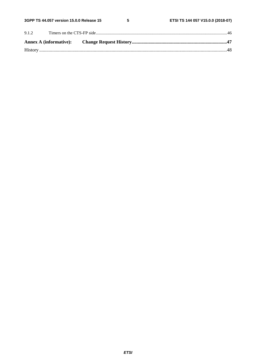$5\phantom{a}$ 

| 9.1.2 |  |  |
|-------|--|--|
|       |  |  |
|       |  |  |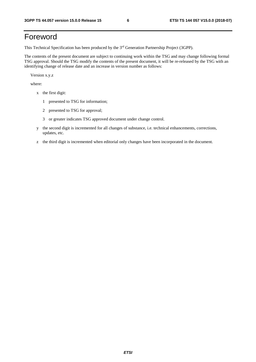## Foreword

This Technical Specification has been produced by the 3rd Generation Partnership Project (3GPP).

The contents of the present document are subject to continuing work within the TSG and may change following formal TSG approval. Should the TSG modify the contents of the present document, it will be re-released by the TSG with an identifying change of release date and an increase in version number as follows:

Version x.y.z

where:

- x the first digit:
	- 1 presented to TSG for information;
	- 2 presented to TSG for approval;
	- 3 or greater indicates TSG approved document under change control.
- y the second digit is incremented for all changes of substance, i.e. technical enhancements, corrections, updates, etc.
- z the third digit is incremented when editorial only changes have been incorporated in the document.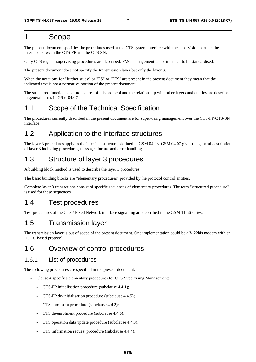## 1 Scope

The present document specifies the procedures used at the CTS system interface with the supervision part i.e. the interface between the CTS-FP and the CTS-SN.

Only CTS regular supervising procedures are described; FMC management is not intended to be standardised.

The present document does not specify the transmission layer but only the layer 3.

When the notations for "further study" or "FS" or "FFS" are present in the present document they mean that the indicated text is not a normative portion of the present document.

The structured functions and procedures of this protocol and the relationship with other layers and entities are described in general terms in GSM 04.07.

## 1.1 Scope of the Technical Specification

The procedures currently described in the present document are for supervising management over the CTS-FP/CTS-SN interface.

## 1.2 Application to the interface structures

The layer 3 procedures apply to the interface structures defined in GSM 04.03. GSM 04.07 gives the general description of layer 3 including procedures, messages format and error handling.

## 1.3 Structure of layer 3 procedures

A building block method is used to describe the layer 3 procedures.

The basic building blocks are "elementary procedures" provided by the protocol control entities.

Complete layer 3 transactions consist of specific sequences of elementary procedures. The term "structured procedure" is used for these sequences.

## 1.4 Test procedures

Test procedures of the CTS / Fixed Network interface signalling are described in the GSM 11.56 series.

## 1.5 Transmission layer

The transmission layer is out of scope of the present document. One implementation could be a V.22bis modem with an HDLC based protocol.

## 1.6 Overview of control procedures

### 1.6.1 List of procedures

The following procedures are specified in the present document:

- Clause 4 specifies elementary procedures for CTS Supervising Management:
	- CTS-FP initialisation procedure (subclause 4.4.1);
	- CTS-FP de-initialisation procedure (subclause 4.4.5);
	- CTS enrolment procedure (subclause 4.4.2);
	- CTS de-enrolment procedure (subclause 4.4.6);
	- CTS operation data update procedure (subclause 4.4.3);
	- CTS information request procedure (subclause 4.4.4);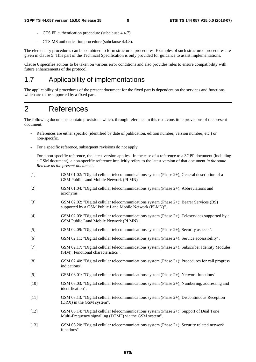- CTS FP authentication procedure (subclause 4.4.7);
- CTS MS authentication procedure (subclause 4.4.8).

The elementary procedures can be combined to form structured procedures. Examples of such structured procedures are given in clause 5. This part of the Technical Specification is only provided for guidance to assist implementations.

Clause 6 specifies actions to be taken on various error conditions and also provides rules to ensure compatibility with future enhancements of the protocol.

## 1.7 Applicability of implementations

The applicability of procedures of the present document for the fixed part is dependent on the services and functions which are to be supported by a fixed part.

## 2 References

The following documents contain provisions which, through reference in this text, constitute provisions of the present document.

- References are either specific (identified by date of publication, edition number, version number, etc.) or non-specific.
- For a specific reference, subsequent revisions do not apply.
- For a non-specific reference, the latest version applies. In the case of a reference to a 3GPP document (including a GSM document), a non-specific reference implicitly refers to the latest version of that document *in the same Release as the present document*.
- [1] GSM 01.02: "Digital cellular telecommunications system (Phase 2+); General description of a GSM Public Land Mobile Network (PLMN)". [2] GSM 01.04: "Digital cellular telecommunications system (Phase 2+); Abbreviations and acronyms". [3] GSM 02.02: "Digital cellular telecommunications system (Phase 2+); Bearer Services (BS) supported by a GSM Public Land Mobile Network (PLMN)".
- [4] GSM 02.03: "Digital cellular telecommunications system (Phase 2+); Teleservices supported by a GSM Public Land Mobile Network (PLMN)".
- [5] GSM 02.09: "Digital cellular telecommunications system (Phase 2+); Security aspects".
- [6] GSM 02.11: "Digital cellular telecommunications system (Phase 2+); Service accessibility".
- [7] GSM 02.17: "Digital cellular telecommunications system (Phase 2+); Subscriber Identity Modules (SIM); Functional characteristics".
- [8] GSM 02.40: "Digital cellular telecommunications system (Phase 2+); Procedures for call progress indications".
- [9] GSM 03.01: "Digital cellular telecommunications system (Phase 2+); Network functions".
- [10] GSM 03.03: "Digital cellular telecommunications system (Phase 2+); Numbering, addressing and identification".
- [11] GSM 03.13: "Digital cellular telecommunications system (Phase 2+); Discontinuous Reception (DRX) in the GSM system".
- [12] GSM 03.14: "Digital cellular telecommunications system (Phase 2+); Support of Dual Tone Multi-Frequency signalling (DTMF) via the GSM system".
- [13] GSM 03.20: "Digital cellular telecommunications system (Phase 2+); Security related network functions".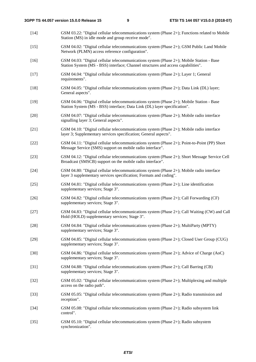- [14] GSM 03.22: "Digital cellular telecommunications system (Phase 2+); Functions related to Mobile Station (MS) in idle mode and group receive mode".
- [15] GSM 04.02: "Digital cellular telecommunications system (Phase 2+); GSM Public Land Mobile Network (PLMN) access reference configuration".
- [16] GSM 04.03: "Digital cellular telecommunications system (Phase 2+); Mobile Station Base Station System (MS - BSS) interface; Channel structures and access capabilities".
- [17] GSM 04.04: "Digital cellular telecommunications system (Phase 2+); Layer 1; General requirements".
- [18] GSM 04.05: "Digital cellular telecommunications system (Phase 2+); Data Link (DL) layer; General aspects".
- [19] GSM 04.06: "Digital cellular telecommunications system (Phase 2+); Mobile Station Base Station System (MS - BSS) interface; Data Link (DL) layer specification".
- [20] GSM 04.07: "Digital cellular telecommunications system (Phase 2+); Mobile radio interface signalling layer 3; General aspects".
- [21] GSM 04.10: "Digital cellular telecommunications system (Phase 2+); Mobile radio interface layer 3; Supplementary services specification; General aspects".
- [22] GSM 04.11: "Digital cellular telecommunications system (Phase 2+); Point-to-Point (PP) Short Message Service (SMS) support on mobile radio interface".
- [23] GSM 04.12: "Digital cellular telecommunications system (Phase 2+); Short Message Service Cell Broadcast (SMSCB) support on the mobile radio interface".
- [24] GSM 04.80: "Digital cellular telecommunications system (Phase 2+); Mobile radio interface layer 3 supplementary services specification; Formats and coding".
- [25] GSM 04.81: "Digital cellular telecommunications system (Phase 2+); Line identification supplementary services; Stage 3".
- [26] GSM 04.82: "Digital cellular telecommunications system (Phase 2+); Call Forwarding (CF) supplementary services; Stage 3".
- [27] GSM 04.83: "Digital cellular telecommunications system (Phase 2+); Call Waiting (CW) and Call Hold (HOLD) supplementary services; Stage 3".
- [28] GSM 04.84: "Digital cellular telecommunications system (Phase 2+); MultiParty (MPTY) supplementary services; Stage 3".
- [29] GSM 04.85: "Digital cellular telecommunications system (Phase 2+); Closed User Group (CUG) supplementary services; Stage 3".
- [30] GSM 04.86: "Digital cellular telecommunications system (Phase 2+); Advice of Charge (AoC) supplementary services; Stage 3".
- [31] GSM 04.88: "Digital cellular telecommunications system (Phase 2+); Call Barring (CB) supplementary services; Stage 3".
- [32] GSM 05.02: "Digital cellular telecommunications system (Phase 2+); Multiplexing and multiple access on the radio path".
- [33] GSM 05.05: "Digital cellular telecommunications system (Phase 2+); Radio transmission and reception".
- [34] GSM 05.08: "Digital cellular telecommunications system (Phase 2+); Radio subsystem link control".
- [35] GSM 05.10: "Digital cellular telecommunications system (Phase 2+); Radio subsystem synchronization".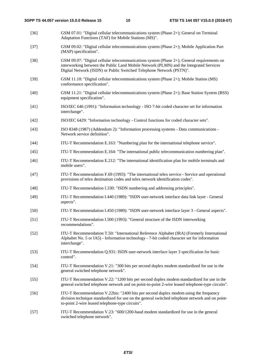- [36] GSM 07.01: "Digital cellular telecommunications system (Phase 2+); General on Terminal Adaptation Functions (TAF) for Mobile Stations (MS)".
- [37] GSM 09.02: "Digital cellular telecommunications system (Phase 2+); Mobile Application Part (MAP) specification".
- [38] GSM 09.07: "Digital cellular telecommunications system (Phase 2+); General requirements on interworking between the Public Land Mobile Network (PLMN) and the Integrated Services Digital Network (ISDN) or Public Switched Telephone Network (PSTN)".
- [39] GSM 11.10: "Digital cellular telecommunications system (Phase 2+); Mobile Station (MS) conformance specification".
- [40] GSM 11.21: "Digital cellular telecommunications system (Phase 2+); Base Station System (BSS) equipment specification".
- [41] ISO/IEC 646 (1991): "Information technology ISO 7-bit coded character set for information interchange".
- [42] ISO/IEC 6429: "Information technology Control functions for coded character sets".
- [43] ISO 8348 (1987) (Addendum 2): "Information processing systems Data communications Network service definition".
- [44] ITU-T Recommendation E.163: "Numbering plan for the international telephone service".
- [45] ITU-T Recommendation E.164: "The international public telecommunication numbering plan".
- [46] ITU-T Recommendation E.212: "The international identification plan for mobile terminals and mobile users".
- [47] ITU-T Recommendation F.69 (1993): "The international telex service Service and operational provisions of telex destination codes and telex network identification codes".
- [48] ITU-T Recommendation I.330: "ISDN numbering and addressing principles".
- [49] ITU-T Recommendation I.440 (1989): "ISDN user-network interface data link layer General aspects".
- [50] ITU-T Recommendation I.450 (1989): "ISDN user-network interface layer 3 General aspects".
- [51] ITU-T Recommendation I.500 (1993): "General structure of the ISDN interworking recommendations".
- [52] ITU-T Recommendation T.50: "International Reference Alphabet (IRA) (Formerly International Alphabet No. 5 or IA5) - Information technology - 7-bit coded character set for information interchange".
- [53] ITU-T Recommendation Q.931: ISDN user-network interface layer 3 specification for basic control".
- [54] ITU-T Recommendation V.21: "300 bits per second duplex modem standardized for use in the general switched telephone network".
- [55] ITU-T Recommendation V.22: "1200 bits per second duplex modem standardized for use in the general switched telephone network and on point-to-point 2-wire leased telephone-type circuits".
- [56] ITU-T Recommendation V.22bis: "2400 bits per second duplex modem using the frequency division technique standardized for use on the general switched telephone network and on pointto-point 2-wire leased telephone-type circuits".
- [57] ITU-T Recommendation V.23: "600/1200-baud modem standardized for use in the general switched telephone network".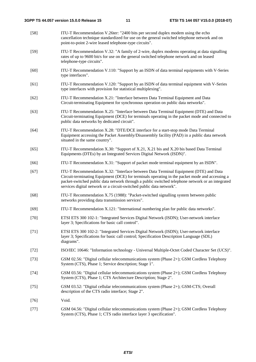| $[58]$ | ITU-T Recommendation V.26ter: "2400 bits per second duplex modem using the echo<br>cancellation technique standardized for use on the general switched telephone network and on<br>point-to-point 2-wire leased telephone-type circuits".                                                                                                                          |
|--------|--------------------------------------------------------------------------------------------------------------------------------------------------------------------------------------------------------------------------------------------------------------------------------------------------------------------------------------------------------------------|
| $[59]$ | ITU-T Recommendation V.32: "A family of 2-wire, duplex modems operating at data signalling<br>rates of up to 9600 bit/s for use on the general switched telephone network and on leased<br>telephone-type circuits".                                                                                                                                               |
| $[60]$ | ITU-T Recommendation V.110: "Support by an ISDN of data terminal equipments with V-Series<br>type interfaces".                                                                                                                                                                                                                                                     |
| [61]   | ITU-T Recommendation V.120: "Support by an ISDN of data terminal equipment with V-Series<br>type interfaces with provision for statistical multiplexing".                                                                                                                                                                                                          |
| $[62]$ | ITU-T Recommendation X.21: "Interface between Data Terminal Equipment and Data<br>Circuit-terminating Equipment for synchronous operation on public data networks".                                                                                                                                                                                                |
| $[63]$ | ITU-T Recommendation X.25: "Interface between Data Terminal Equipment (DTE) and Data<br>Circuit-terminating Equipment (DCE) for terminals operating in the packet mode and connected to<br>public data networks by dedicated circuit".                                                                                                                             |
| $[64]$ | ITU-T Recommendation X.28: "DTE/DCE interface for a start-stop mode Data Terminal<br>Equipment accessing the Packet Assembly/Disassembly facility (PAD) in a public data network<br>situated in the same country".                                                                                                                                                 |
| $[65]$ | ITU-T Recommendation X.30: "Support of X.21, X.21 bis and X.20 bis based Data Terminal<br>Equipments (DTEs) by an Integrated Services Digital Network (ISDN)".                                                                                                                                                                                                     |
| $[66]$ | ITU-T Recommendation X.31: "Support of packet mode terminal equipment by an ISDN".                                                                                                                                                                                                                                                                                 |
| $[67]$ | ITU-T Recommendation X.32: "Interface between Data Terminal Equipment (DTE) and Data<br>Circuit-terminating Equipment (DCE) for terminals operating in the packet mode and accessing a<br>packet-switched public data network through a public switched telephone network or an integrated<br>services digital network or a circuit-switched public data network". |
| $[68]$ | ITU-T Recommendation X.75 (1988): "Packet-switched signalling system between public<br>networks providing data transmission services".                                                                                                                                                                                                                             |
| $[69]$ | ITU-T Recommendation X.121: "International numbering plan for public data networks".                                                                                                                                                                                                                                                                               |
| $[70]$ | ETSI ETS 300 102-1: "Integrated Services Digital Network (ISDN); User-network interface<br>layer 3; Specifications for basic call control".                                                                                                                                                                                                                        |
| $[71]$ | ETSI ETS 300 102-2: "Integrated Services Digital Network (ISDN); User-network interface<br>layer 3; Specifications for basic call control; Specification Description Language (SDL)<br>diagrams".                                                                                                                                                                  |
| $[72]$ | ISO/IEC 10646: "Information technology - Universal Multiple-Octet Coded Character Set (UCS)".                                                                                                                                                                                                                                                                      |
| $[73]$ | GSM 02.56: "Digital cellular telecommunications system (Phase 2+); GSM Cordless Telephony<br>System (CTS), Phase 1; Service description; Stage 1".                                                                                                                                                                                                                 |
| $[74]$ | GSM 03.56: "Digital cellular telecommunications system (Phase 2+); GSM Cordless Telephony<br>System (CTS), Phase 1; CTS Architecture Description; Stage 2".                                                                                                                                                                                                        |
| $[75]$ | GSM 03.52: "Digital cellular telecommunications system (Phase 2+); GSM-CTS; Overall<br>description of the CTS radio interface; Stage 2".                                                                                                                                                                                                                           |
| $[76]$ | Void.                                                                                                                                                                                                                                                                                                                                                              |
| $[77]$ | GSM 04.56: "Digital cellular telecommunications system (Phase 2+); GSM Cordless Telephony<br>System (CTS), Phase 1; CTS radio interface layer 3 specification".                                                                                                                                                                                                    |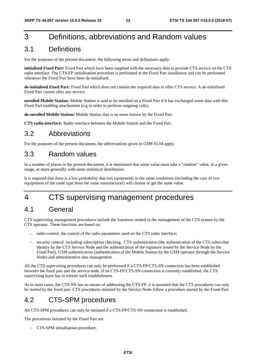## 3 Definitions, abbreviations and Random values

## 3.1 Definitions

For the purposes of the present document, the following terms and definitions apply:

**initialised Fixed Part:** Fixed Part which have been supplied with the necessary data to provide CTS service on the CTS radio interface. The CTS-FP initialisation procedure is performed at the Fixed Part installation and can be performed whenever the Fixed Part have been de-initialised.

**de-initialised Fixed Part:** Fixed Part which does not contain the required data to offer CTS service. A de-initialised Fixed Part cannot offer any service.

**enrolled Mobile Station:** Mobile Station is said to be enrolled on a Fixed Part if it has exchanged some data with this Fixed Part enabling attachement (e.g.in order to perform outgoing calls).

**de-enrolled Mobile Station:** Mobile Station that is no more known by the Fixed Part.

**CTS radio interface:** Radio interface between the Mobile Station and the Fixed Part.

## 3.2 Abbreviations

For the purposes of the present document, the abbreviations given in GSM 01.04 apply.

## 3.3 Random values

In a number of places in the present document, it is mentioned that some value must take a "random" value, in a given range, or more generally with some statistical distribution.

It is required that there is a low probability that two equipments in the same conditions (including the case of two equipments of the same type from the same manufacturer) will choose or get the same value.

## 4 CTS supervising management procedures

## 4.1 General

CTS supervising management procedures include the functions related to the management of the CTS system by the CTS operator. These functions are based on:

- radio control: the control of the radio parameters used on the CTS radio interface;
- security control: including subscription checking, CTS authentication (the authentication of the CTS subscriber identity by the CTS Service Node and the authentication of the signature issued by the Service Node by the Fixed Part), GSM authentication (authentication of the Mobile Station by the GSM operator through the Service Node) and administrative data management.

All the CTS supervising procedures can only be performed if a CTS-FP/CTS-SN connection has been established between the fixed part and the service node. If no CTS-FP/CTS-SN connection is currently established, the CTS supervising layer has to initiate such establishment.

As in most cases, the CTS-SN has no means of addressing the CTS-FP, it is assumed that the CTS procedures can only be started by the fixed part. CTS procedures initiated by the Service Node follow a procedure started by the Fixed Part.

## 4.2 CTS-SPM procedures

All CTS-SPM procedures can only be initiated if a CTS-FP/CTS-SN connection is established.

The procedures initiated by the Fixed Part are:

- CTS-SPM initialisation procedure;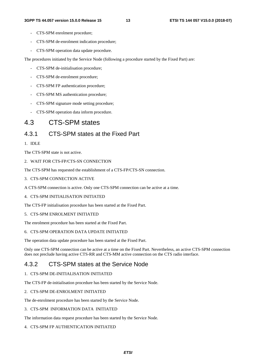- CTS-SPM enrolment procedure;
- CTS-SPM de-enrolment indication procedure;
- CTS-SPM operation data update procedure.

The procedures initiated by the Service Node (following a procedure started by the Fixed Part) are:

- CTS-SPM de-initialisation procedure;
- CTS-SPM de-enrolment procedure;
- CTS-SPM FP authentication procedure;
- CTS-SPM MS authentication procedure;
- CTS-SPM signature mode setting procedure;
- CTS-SPM operation data inform procedure.

## 4.3 CTS-SPM states

## 4.3.1 CTS-SPM states at the Fixed Part

#### 1. IDLE

The CTS-SPM state is not active.

2. WAIT FOR CTS-FP/CTS-SN CONNECTION

The CTS-SPM has requested the establishment of a CTS-FP/CTS-SN connection.

- 3. CTS-SPM CONNECTION ACTIVE
- A CTS-SPM connection is active. Only one CTS-SPM connection can be active at a time.

#### 4. CTS-SPM INITIALISATION INITIATED

The CTS-FP initialisation procedure has been started at the Fixed Part.

#### 5. CTS-SPM ENROLMENT INITIATED

The enrolment procedure has been started at the Fixed Part.

#### 6. CTS-SPM OPERATION DATA UPDATE INITIATED

The operation data update procedure has been started at the Fixed Part.

Only one CTS-SPM connection can be active at a time on the Fixed Part. Nevertheless, an active CTS-SPM connection does not preclude having active CTS-RR and CTS-MM active connection on the CTS radio interface.

## 4.3.2 CTS-SPM states at the Service Node

#### 1. CTS-SPM DE-INITIALISATION INITIATED

The CTS-FP de-initialisation procedure has been started by the Service Node.

#### 2. CTS-SPM DE-ENROLMENT INITIATED

The de-enrolment procedure has been started by the Service Node.

#### 3. CTS-SPM INFORMATION DATA INITIATED

The information data request procedure has been started by the Service Node.

#### 4. CTS-SPM FP AUTHENTICATION INITIATED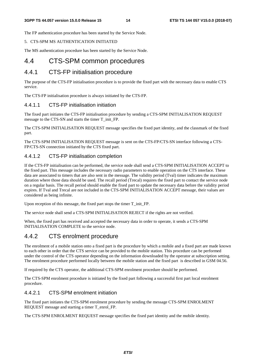The FP authentication procedure has been started by the Service Node.

#### 5. CTS-SPM MS AUTHENTICATION INITIATED

The MS authentication procedure has been started by the Service Node.

## 4.4 CTS-SPM common procedures

## 4.4.1 CTS-FP initialisation procedure

The purpose of the CTS-FP initialisation procedure is to provide the fixed part with the necessary data to enable CTS service.

The CTS-FP initialisation procedure is always initiated by the CTS-FP.

#### 4.4.1.1 CTS-FP initialisation initiation

The fixed part initiates the CTS-FP initialisation procedure by sending a CTS-SPM INITIALISATION REQUEST message to the CTS-SN and starts the timer T\_init\_FP.

The CTS-SPM INITIALISATION REQUEST message specifies the fixed part identity, and the classmark of the fixed part.

The CTS-SPM INITIALISATION REQUEST message is sent on the CTS-FP/CTS-SN interface following a CTS-FP/CTS-SN connection initiated by the CTS fixed part.

### 4.4.1.2 CTS-FP initialisation completion

If the CTS-FP initialisation can be performed, the service node shall send a CTS-SPM INITIALISATION ACCEPT to the fixed part. This message includes the necessary radio parameters to enable operation on the CTS interface. These data are associated to timers that are also sent in the message. The validity period (Tval) timer indicates the maximum duration where those data should be used. The recall period (Trecal) requires the fixed part to contact the service node on a regular basis. The recall period should enable the fixed part to update the necessary data before the validity period expires. If Tval and Trecal are not included in the CTS-SPM INITIALISATION ACCEPT message, their values are considered as being infinite.

Upon reception of this message, the fixed part stops the timer T\_init\_FP.

The service node shall send a CTS-SPM INITIALISATION REJECT if the rights are not verified.

When, the fixed part has received and accepted the necessary data in order to operate, it sends a CTS-SPM INITIALISATION COMPLETE to the service node.

## 4.4.2 CTS enrolment procedure

The enrolment of a mobile station onto a fixed part is the procedure by which a mobile and a fixed part are made known to each other in order that the CTS service can be provided to the mobile station. This procedure can be performed under the control of the CTS operator depending on the information downloaded by the operator at subscription setting. The enrolment procedure performed locally between the mobile station and the fixed part is described in GSM 04.56.

If required by the CTS operator, the additional CTS-SPM enrolment procedure should be performed.

The CTS-SPM enrolment procedure is initiated by the fixed part following a successful first part local enrolment procedure.

### 4.4.2.1 CTS-SPM enrolment initiation

The fixed part initiates the CTS-SPM enrolment procedure by sending the message CTS-SPM ENROLMENT REQUEST message and starting a timer T\_enrol\_FP.

The CTS-SPM ENROLMENT REQUEST message specifies the fixed part identity and the mobile identity.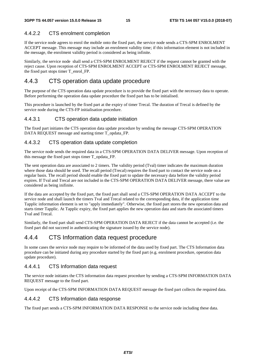### 4.4.2.2 CTS enrolment completion

If the service node agrees to enrol the mobile onto the fixed part, the service node sends a CTS-SPM ENROLMENT ACCEPT message. This message may include an enrolment validity time; if this information element is not included in the message, the enrolment validity period is considered as being infinite.

Similarly, the service node shall send a CTS-SPM ENROLMENT REJECT if the request cannot be granted with the reject cause. Upon reception of CTS-SPM ENROLMENT ACCEPT or CTS-SPM ENROLMENT REJECT message, the fixed part stops timer T\_enrol\_FP.

## 4.4.3 CTS operation data update procedure

The purpose of the CTS operation data update procedure is to provide the fixed part with the necessary data to operate. Before performing the operation data update procedure the fixed part has to be initialised.

This procedure is launched by the fixed part at the expiry of timer Trecal. The duration of Trecal is defined by the service node during the CTS-FP initialisation procedure.

#### 4.4.3.1 CTS operation data update initiation

The fixed part initiates the CTS operation data update procedure by sending the message CTS-SPM OPERATION DATA REQUEST message and starting timer T\_opdata\_FP.

#### 4.4.3.2 CTS operation data update completion

The service node sends the required data in a CTS-SPM OPERATION DATA DELIVER message. Upon reception of this message the fixed part stops timer T\_opdata\_FP.

The sent operation data are associated to 2 timers. The validity period (Tval) timer indicates the maximum duration where those data should be used. The recall period (Trecal) requires the fixed part to contact the service node on a regular basis. The recall period should enable the fixed part to update the necessary data before the validity period expires. If Tval and Trecal are not included in the CTS-SPM OPERATION DATA DELIVER message, there value are considered as being inifinite.

If the data are accepted by the fixed part, the fixed part shall send a CTS-SPM OPERATION DATA ACCEPT to the service node and shall launch the timers Tval and Trecal related to the corresponding data, if the application time Tapplic information element is set to "apply immediately". Otherwise, the fixed part stores the new operation data and starts timer Tapplic. At Tapplic expiry, the fixed part applies the new operation data and starts the associated timers Tval and Trecal.

Similarly, the fixed part shall send CTS-SPM OPERATION DATA REJECT if the data cannot be accepted (i.e. the fixed part did not succeed in authenticating the signature issued by the service node).

## 4.4.4 CTS Information data request procedure

In some cases the service node may require to be informed of the data used by fixed part. The CTS Information data procedure can be initiated during any procedure started by the fixed part (e.g. enrolment procedure, operation data update procedure).

#### 4.4.4.1 CTS Information data request

The service node initiates the CTS information data request procedure by sending a CTS-SPM INFORMATION DATA REQUEST message to the fixed part.

Upon receipt of the CTS-SPM INFORMATION DATA REQUEST message the fixed part collects the required data.

#### 4.4.4.2 CTS Information data response

The fixed part sends a CTS-SPM INFORMATION DATA RESPONSE to the service node including these data.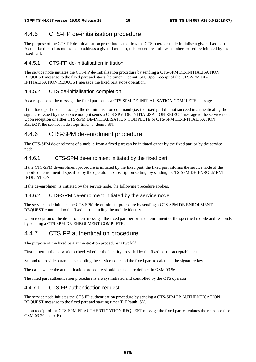## 4.4.5 CTS-FP de-initialisation procedure

The purpose of the CTS-FP de-initialisation procedure is to allow the CTS operator to de-initialise a given fixed part. As the fixed part has no means to address a given fixed part, this procedures follows another procedure initiated by the fixed part.

#### 4.4.5.1 CTS-FP de-initialisation initiation

The service node initiates the CTS-FP de-initialisation procedure by sending a CTS-SPM DE-INITIALISATION REQUEST message to the fixed part and starts the timer T\_deinit\_SN. Upon receipt of the CTS-SPM DE-INITIALISATION REQUEST message the fixed part stops operation.

#### 4.4.5.2 CTS de-initialisation completion

As a response to the message the fixed part sends a CTS-SPM DE-INITIALISATION COMPLETE message.

If the fixed part does not accept the de-initialisation command (i.e. the fixed part did not succeed in authenticating the signature issued by the service node) it sends a CTS-SPM DE-INITIALISATION REJECT message to the service node. Upon reception of either CTS-SPM DE-INITIALISATION COMPLETE or CTS-SPM DE-INITIALISATION REJECT, the service node stops timer T\_deinit\_SN.

## 4.4.6 CTS-SPM de-enrolment procedure

The CTS-SPM de-enrolment of a mobile from a fixed part can be initiated either by the fixed part or by the service node.

#### 4.4.6.1 CTS-SPM de-enrolment initiated by the fixed part

If the CTS-SPM de-enrolment procedure is initiated by the fixed part, the fixed part informs the service node of the mobile de-enrolment if specified by the operator at subscription setting, by sending a CTS-SPM DE-ENROLMENT INDICATION.

If the de-enrolment is initiated by the service node, the following procedure applies.

#### 4.4.6.2 CTS-SPM de-enrolment initiated by the service node

The service node initiates the CTS-SPM de-enrolment procedure by sending a CTS-SPM DE-ENROLMENT REQUEST command to the fixed part including the mobile identity.

Upon reception of the de-enrolment message, the fixed part performs de-enrolment of the specified mobile and responds by sending a CTS-SPM DE-ENROLMENT COMPLETE.

## 4.4.7 CTS FP authentication procedure

The purpose of the fixed part authentication procedure is twofold:

First to permit the network to check whether the identity provided by the fixed part is acceptable or not.

Second to provide parameters enabling the service node and the fixed part to calculate the signature key.

The cases where the authentication procedure should be used are defined in GSM 03.56.

The fixed part authentication procedure is always initiated and controlled by the CTS operator.

### 4.4.7.1 CTS FP authentication request

The service node initiates the CTS FP authentication procedure by sending a CTS-SPM FP AUTHENTICATION REQUEST message to the fixed part and starting timer T\_FPauth\_SN.

Upon receipt of the CTS-SPM FP AUTHENTICATION REQUEST message the fixed part calculates the response (see GSM 03.20 annex E).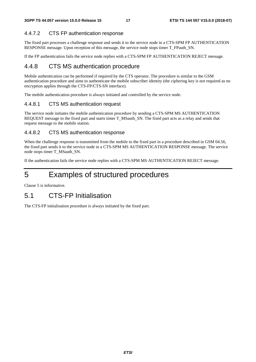### 4.4.7.2 CTS FP authentication response

The fixed part processes a challenge response and sends it to the service node in a CTS-SPM FP AUTHENTICATION RESPONSE message. Upon reception of this message, the service node stops timer T\_FPauth\_SN.

If the FP authentication fails the service node replies with a CTS-SPM FP AUTHENTICATION REJECT message.

## 4.4.8 CTS MS authentication procedure

Mobile authentication can be performed if required by the CTS operator. The procedure is similar to the GSM authentication procedure and aims to authenticate the mobile subscriber identity (the ciphering key is not required as no encryption applies through the CTS-FP/CTS-SN interface).

The mobile authentication procedure is always initiated and controlled by the service node.

#### 4.4.8.1 CTS MS authentication request

The service node initiates the mobile authentication procedure by sending a CTS-SPM MS AUTHENTICATION REQUEST message to the fixed part and starts timer T\_MSauth\_SN. The fixed part acts as a relay and sends that request message to the mobile station.

#### 4.4.8.2 CTS MS authentication response

When the challenge response is transmitted from the mobile to the fixed part in a procedure described in GSM 04.56, the fixed part sends it to the service node in a CTS-SPM MS AUTHENTICATION RESPONSE message. The service node stops timer T\_MSauth\_SN.

If the authentication fails the service node replies with a CTS-SPM MS AUTHENTICATION REJECT message.

## 5 Examples of structured procedures

Clause 5 is informative.

## 5.1 CTS-FP Initialisation

The CTS-FP initialisation procedure is always initiated by the fixed part.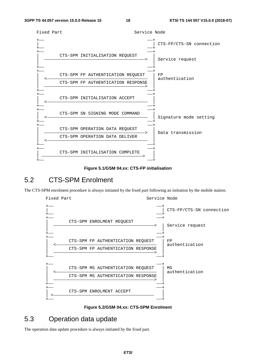

**Figure 5.1/GSM 04.xx: CTS-FP initialisation** 

## 5.2 CTS-SPM Enrolment

The CTS-SPM enrolment procedure is always initiated by the fixed part following an initiation by the mobile station.

![](_page_18_Figure_7.jpeg)

![](_page_18_Figure_8.jpeg)

## 5.3 Operation data update

The operation data update procedure is always initiated by the fixed part.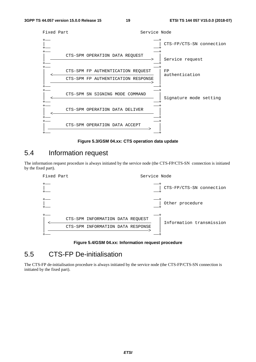![](_page_19_Figure_3.jpeg)

**Figure 5.3/GSM 04.xx: CTS operation data update** 

## 5.4 Information request

The information request procedure is always initiated by the service node (the CTS-FP/CTS-SN connection is initiated by the fixed part).

![](_page_19_Figure_7.jpeg)

#### **Figure 5.4/GSM 04.xx: Information request procedure**

## 5.5 CTS-FP De-initialisation

The CTS-FP de-initialisation procedure is always initiated by the service node (the CTS-FP/CTS-SN connection is initiated by the fixed part).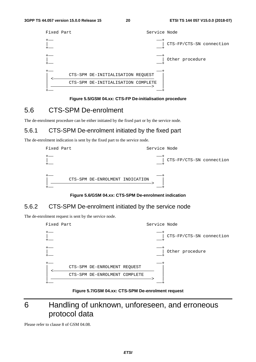| Fixed Part | Service Node                                                            |                          |
|------------|-------------------------------------------------------------------------|--------------------------|
|            |                                                                         | CTS-FP/CTS-SN connection |
|            |                                                                         | Other procedure          |
|            | CTS-SPM DE-INITIALISATION REQUEST<br>CTS-SPM DE-INITIALISATION COMPLETE |                          |

#### **Figure 5.5/GSM 04.xx: CTS-FP De-initialisation procedure**

## 5.6 CTS-SPM De-enrolment

The de-enrolment procedure can be either initiated by the fixed part or by the service node.

## 5.6.1 CTS-SPM De-enrolment initiated by the fixed part

The de-enrolment indication is sent by the fixed part to the service node.

| Fixed Part |                                 | Service Node |                          |
|------------|---------------------------------|--------------|--------------------------|
|            |                                 |              | CTS-FP/CTS-SN connection |
|            | CTS-SPM DE-ENROLMENT INDICATION |              |                          |

#### **Figure 5.6/GSM 04.xx: CTS-SPM De-enrolment indication**

## 5.6.2 CTS-SPM De-enrolment initiated by the service node

The de-enrolment request is sent by the service node.

| Fixed Part |                               | Service Node |                          |
|------------|-------------------------------|--------------|--------------------------|
|            |                               |              | CTS-FP/CTS-SN connection |
|            |                               |              | Other procedure          |
|            | CTS-SPM DE-ENROLMENT REQUEST  |              |                          |
|            | CTS-SPM DE-ENROLMENT COMPLETE |              |                          |
|            |                               |              |                          |

**Figure 5.7/GSM 04.xx: CTS-SPM De-enrolment request** 

## 6 Handling of unknown, unforeseen, and erroneous protocol data

Please refer to clause 8 of GSM 04.08.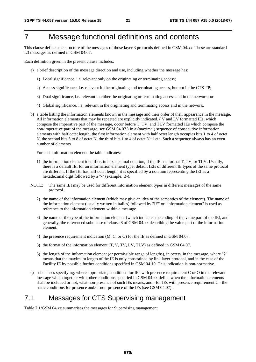## 7 Message functional definitions and contents

This clause defines the structure of the messages of those layer 3 protocols defined in GSM 04.xx. These are standard L3 messages as defined in GSM 04.07.

Each definition given in the present clause includes:

- a) a brief description of the message direction and use, including whether the message has:
	- 1) Local significance, i.e. relevant only on the originating or terminating access;
	- 2) Access significance, i.e. relevant in the originating and terminating access, but not in the CTS-FP;
	- 3) Dual significance, i.e. relevant in either the originating or terminating access and in the network; or
	- 4) Global significance, i.e. relevant in the originating and terminating access and in the network.
- b) a table listing the information elements known in the message and their order of their appearance in the message. All information elements that may be repeated are explicitly indicated. ( V and LV formatted IEs, which compose the imperative part of the message, occur before T, TV, and TLV formatted IEs which compose the non-imperative part of the message, see GSM 04.07.) In a (maximal) sequence of consecutive information elements with half octet length, the first information element with half octet length occupies bits 1 to 4 of octet N, the second bits 5 to 8 of octet N, the third bits 1 to 4 of octet N+1 etc. Such a sequence always has an even number of elements.

For each information element the table indicates:

- 1) the information element identifier, in hexadecimal notation, if the IE has format T, TV, or TLV. Usually, there is a default IEI for an information element type; default IEIs of different IE types of the same protocol are different. If the IEI has half octet length, it is specified by a notation representing the IEI as a hexadecimal digit followed by a "-" (example: B-).
- NOTE: The same IEI may be used for different information element types in different messages of the same protocol.
	- 2) the name of the information element (which may give an idea of the semantics of the element). The name of the information element (usually written in italics) followed by "IE" or "information element" is used as reference to the information element within a message.
	- 3) the name of the type of the information element (which indicates the coding of the value part of the IE), and generally, the referenced subclause of clause 8 of GSM 04.xx describing the value part of the information element.
	- 4) the presence requirement indication (M, C, or O) for the IE as defined in GSM 04.07.
	- 5) the format of the information element (T, V, TV, LV, TLV) as defined in GSM 04.07.
	- 6) the length of the information element (or permissible range of lengths), in octets, in the message, where "?" means that the maximum length of the IE is only constrained by link layer protocol, and in the case of the Facility IE by possible further conditions specified in GSM 04.10. This indication is non-normative.
- c) subclauses specifying, where appropriate, conditions for IEs with presence requirement C or O in the relevant message which together with other conditions specified in GSM 04.xx define when the information elements shall be included or not, what non-presence of such IEs means, and - for IEs with presence requirement C - the static conditions for presence and/or non-presence of the IEs (see GSM 04.07).

## 7.1 Messages for CTS Supervising management

Table 7.1/GSM 04.xx summarises the messages for Supervising management.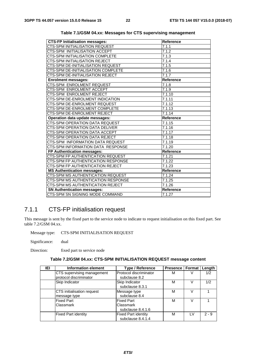| <b>CTS-FP Initialisation messages:</b> | <b>Reference</b>    |
|----------------------------------------|---------------------|
| CTS-SPM INITIALISATION REQUEST         | 7.1.1               |
| CTS-SPM INITIALISATION ACCEPT          | 7.1.2               |
| CTS-SPM INITIALISATION COMPLETE        | 7.1.3               |
| CTS-SPM INITIALISATION REJECT          | 7.1.4               |
| CTS-SPM DE-INITIALISATION REQUEST      | 7.1.5               |
| CTS-SPM DE-INITIALISATION COMPLETE     | 7.1.6               |
| CTS-SPM DE-INITIALISATION REJECT       | 7.1.7               |
| <b>Enrolment messages:</b>             | Reference           |
| CTS-SPM ENROLMENT REQUEST              | 7.1.8               |
| CTS-SPM ENROLMENT ACCEPT               | 7.1.9               |
| CTS-SPM ENROLMENT REJECT               | 7.1.10              |
| CTS-SPM DE-ENROLMENT INDICATION        | 7.1.11              |
| CTS-SPM DE-ENROLMENT REQUEST           | 7.1.12              |
| CTS-SPM DE-ENROLMENT COMPLETE          | 7.1.13              |
| CTS-SPM DE-ENROLMENT REJECT            | 7.1.14              |
| Operation data update messages:        | <b>Reference</b>    |
| <b>CTS-SPM OPERATION DATA REQUEST</b>  | 7.1.15              |
| CTS-SPM OPERATION DATA DELIVER         | 7.1.16              |
| CTS-SPM OPERATION DATA ACCEPT          | 7.1.17              |
| CTS-SPM OPERATION DATA REJECT          | 7.1.18              |
| CTS-SPM_INFORMATION DATA REQUEST       | 7.1.19              |
| CTS-SPM INFORMATION DATA RESPONSE      | $\overline{7}.1.20$ |
| FP Authentication messages:            | <b>Reference</b>    |
| CTS-SPM FP AUTHENTICATION REQUEST      | 7.1.21              |
| CTS-SPM FP AUTHENTICATION RESPONSE     | 7.1.22              |
| CTS-SPM FP AUTHENTICATION REJECT       | 7.1.23              |
| <b>MS Authentication messages:</b>     | <b>Reference</b>    |
| CTS-SPM MS AUTHENTICATION REQUEST      | 7.1.24              |
| CTS-SPM MS AUTHENTICATION RESPONSE     | 7.1.25              |
| CTS-SPM MS AUTHENTICATION REJECT       | $\overline{7.1.26}$ |
| <b>SN Authentication messages:</b>     | <b>Reference</b>    |
| CTS-SPM SN SIGNING MODE COMMAND        | 7.1.27              |

| Table 7.1/GSM 04.xx: Messages for CTS supervising management |  |  |  |
|--------------------------------------------------------------|--|--|--|
|--------------------------------------------------------------|--|--|--|

## 7.1.1 CTS-FP initialisation request

This message is sent by the fixed part to the service node to indicate to request initialisation on this fixed part. See table 7.2/GSM 04.xx.

Message type: CTS-SPM INITIALISATION REQUEST

Significance: dual

Direction: fixed part to service node

|  |  | Table 7.2/GSM 04.xx: CTS-SPM INITIALISATION REQUEST message content |
|--|--|---------------------------------------------------------------------|
|--|--|---------------------------------------------------------------------|

| IEI | Information element        | <b>Type / Reference</b>    | <b>Presence   Format  </b> |     | Length  |
|-----|----------------------------|----------------------------|----------------------------|-----|---------|
|     | CTS supervising management | Protocol discriminator     | М                          | V   | 1/2     |
|     | protocol discriminator     | subclause 8.2              |                            |     |         |
|     | Skip Indicator             | Skip Indicator             | М                          |     | 1/2     |
|     |                            | subclause 8.3.1            |                            |     |         |
|     | CTS initialisation request | Message type               | М                          |     |         |
|     | message type               | subclause 8.4              |                            |     |         |
|     | <b>Fixed Part</b>          | <b>Fixed Part</b>          | M                          | V   |         |
|     | Classmark                  | Classmark                  |                            |     |         |
|     |                            | subclause 8.4.1.6          |                            |     |         |
|     | <b>Fixed Part identity</b> | <b>Fixed Part identity</b> | M                          | I V | $2 - 9$ |
|     |                            | subclause 8.4.1.4          |                            |     |         |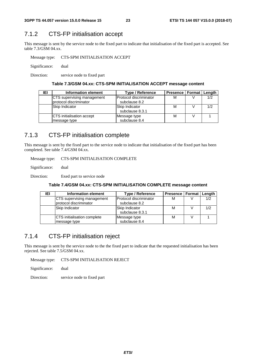## 7.1.2 CTS-FP initialisation accept

This message is sent by the service node to the fixed part to indicate that initialisation of the fixed part is accepted. See table 7.3/GSM 04.xx.

Message type: CTS-SPM INITIALISATION ACCEPT

Significance: dual

Direction: service node to fixed part

#### **Table 7.3/GSM 04.xx: CTS-SPM INITIALISATION ACCEPT message content**

| IEI | Information element              | <b>Type / Reference</b> | <b>Presence   Format   Length</b> |     |
|-----|----------------------------------|-------------------------|-----------------------------------|-----|
|     | CTS supervising management       | Protocol discriminator  | M                                 | 1/2 |
|     | protocol discriminator           | subclause 8.2           |                                   |     |
|     | Skip Indicator                   | Skip Indicator          | M                                 | 1/2 |
|     |                                  | subclause 8.3.1         |                                   |     |
|     | <b>CTS</b> initialisation accept | Message type            | M                                 |     |
|     | message type                     | subclause 8.4           |                                   |     |

### 7.1.3 CTS-FP initialisation complete

This message is sent by the fixed part to the service node to indicate that initialisation of the fixed part has been completed. See table 7.4/GSM 04.xx.

Message type: CTS-SPM INITIALISATION COMPLETE

Significance: dual

Direction: fixed part to service node

#### **Table 7.4/GSM 04.xx: CTS-SPM INITIALISATION COMPLETE message content**

| IEI | Information element                | Type / Reference       | Presence   Format   Length |     |
|-----|------------------------------------|------------------------|----------------------------|-----|
|     | CTS supervising management         | Protocol discriminator | М                          | 1/2 |
|     | protocol discriminator             | subclause 8.2          |                            |     |
|     | Skip Indicator                     | Skip Indicator         | м                          | 1/2 |
|     |                                    | subclause 8.3.1        |                            |     |
|     | <b>CTS</b> initialisation complete | Message type           | М                          |     |
|     | message type                       | subclause 8.4          |                            |     |

### 7.1.4 CTS-FP initialisation reject

This message is sent by the service node to the the fixed part to indicate that the requested initialisation has been rejected. See table 7.5/GSM 04.xx.

Message type: CTS-SPM INITIALISATION REJECT

Significance: dual

Direction: service node to fixed part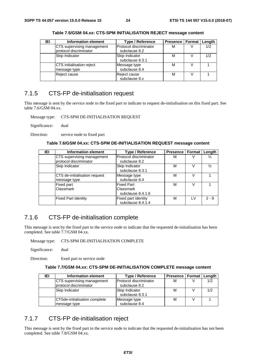| IEI | <b>Information element</b> | <b>Type / Reference</b> | Presence   Format   Length |     |
|-----|----------------------------|-------------------------|----------------------------|-----|
|     | CTS supervising management | Protocol discriminator  | М                          | 1/2 |
|     | protocol discriminator     | subclause 8.2           |                            |     |
|     | Skip Indicator             | Skip Indicator          | М                          | 1/2 |
|     |                            | subclause 8.3.1         |                            |     |
|     | CTS initialisation reject  | Message type            | М                          |     |
|     | message type               | subclause 8.4           |                            |     |
|     | Reject cause               | Reject cause            | М                          |     |
|     |                            | subclause 8.x           |                            |     |

**Table 7.5/GSM 04.xx: CTS-SPM INITIALISATION REJECT message content** 

## 7.1.5 CTS-FP de-initialisation request

This message is sent by the service node to the fixed part to indicate to request de-initialisation on this fixed part. See table 7.6/GSM 04.xx.

Message type: CTS-SPM DE-INITIALISATION REQUEST

Significance: dual

Direction: service node to fixed part

#### **Table 7.6/GSM 04.xx: CTS-SPM DE-INITIALISATION REQUEST message content**

| IEI | <b>Information element</b>    | <b>Type / Reference</b> | <b>Presence</b> | Format | Length  |
|-----|-------------------------------|-------------------------|-----------------|--------|---------|
|     | CTS supervising management    | Protocol discriminator  | M               | V      | ⅓       |
|     | protocol discriminator        | subclause 8.2           |                 |        |         |
|     | Skip Indicator                | Skip Indicator          | М               | V      | ⅓       |
|     |                               | subclause 8.3.1         |                 |        |         |
|     | CTS de-initialisation request | Message type            | М               | V      |         |
|     | message type                  | subclause 8.4           |                 |        |         |
|     | Fixed part                    | <b>Fixed Part</b>       | M               | V      |         |
|     | Classmark                     | Classmark               |                 |        |         |
|     |                               | subclause 8.4.1.6       |                 |        |         |
|     | <b>Fixed Part identity</b>    | Fixed part identity     | M               | I V    | $2 - 9$ |
|     |                               | subclause 8.4.1.4       |                 |        |         |

### 7.1.6 CTS-FP de-initialisation complete

This message is sent by the fixed part to the service node to indicate that the requested de-initialisation has been completed. See table 7.7/GSM 04.xx.

Message type: CTS-SPM DE-INITIALISATION COMPLETE

Significance: dual

Direction: fixed part to service node

#### **Table 7.7/GSM 04.xx: CTS-SPM DE-INITIALISATION COMPLETE message content**

| IEI | Information element                                  | <b>Type / Reference</b>                  | Presence   Format   Length |     |
|-----|------------------------------------------------------|------------------------------------------|----------------------------|-----|
|     | CTS supervising management<br>protocol discriminator | lProtocol discriminator<br>subclause 8.2 | M                          | 1/2 |
|     | Skip Indicator                                       | Skip Indicator<br>subclause 8.3.1        | м                          | 1/2 |
|     | CTSde-initialisation complete<br>message type        | Message type<br>subclause 8.4            | М                          |     |

## 7.1.7 CTS-FP de-initialisation reject

This message is sent by the fixed part to the service node to indicate that the requested de-initialisation has not been completed. See table 7.8/GSM 04.xx.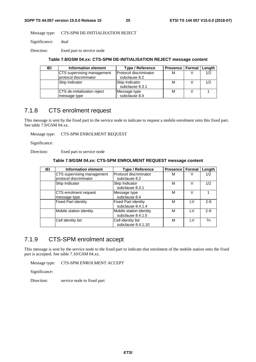Message type: CTS-SPM DE-INITIALISATION REJECT

Significance: dual

Direction: fixed part to service node

#### **Table 7.8/GSM 04.xx: CTS-SPM DE-INITIALISATION REJECT message content**

| IEI | Information element                 | <b>Type / Reference</b> | Presence   Format   Length |     |
|-----|-------------------------------------|-------------------------|----------------------------|-----|
|     | CTS supervising management          | Protocol discriminator  | м                          | 1/2 |
|     | protocol discriminator              | subclause 8.2           |                            |     |
|     | Skip Indicator                      | Skip Indicator          | M                          | 1/2 |
|     |                                     | subclause 8.3.1         |                            |     |
|     | <b>CTS</b> de-initialisation reject | Message type            | М                          |     |
|     | message type                        | subclause 8.4           |                            |     |

## 7.1.8 CTS enrolment request

This message is sent by the fixed part to the service node to indicate to request a mobile enrolment onto this fixed part. See table 7.9/GSM 04.xx.

Message type: CTS-SPM ENROLMENT REQUEST

Significance:

Direction: fixed part to service node

#### **Table 7.9/GSM 04.xx: CTS-SPM ENROLMENT REQUEST message content**

| IEI | <b>Information element</b>                           | <b>Type / Reference</b>                         | <b>Presence</b> | Format | Length |
|-----|------------------------------------------------------|-------------------------------------------------|-----------------|--------|--------|
|     | CTS supervising management<br>protocol discriminator | Protocol discriminator<br>subclause 8.2         | м               | V      | 1/2    |
|     | Skip Indicator                                       | Skip Indicator<br>subclause 8.3.1               | М               | V      | 1/2    |
|     | CTS enrolment request<br>message type                | Message type<br>subclause 8.4                   | М               | V      |        |
|     | <b>Fixed Part identity</b>                           | <b>Fixed Part identity</b><br>subclause 8.4.1.4 | М               | I V    | $2-9$  |
|     | Mobile station identity                              | Mobile station identity<br>subclause 8.4.1.5    | м               | I V    | $2-9$  |
|     | Cell identity list                                   | Cell identity list<br>subclause 8.4.1.10        | М               | I V    | 7n     |

## 7.1.9 CTS-SPM enrolment accept

This message is sent by the service node to the fixed part to indicate that enrolment of the mobile station onto the fixed part is accepted. See table 7.10/GSM 04.xx.

Message type: CTS-SPM ENROLMENT ACCEPT

Significance:

Direction: service node to fixed part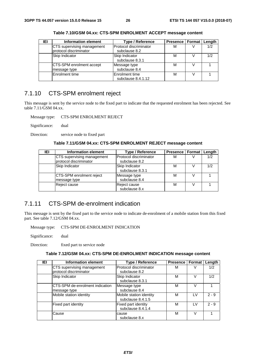| IEI | <b>Information element</b> | <b>Type / Reference</b> | Presence   Format   Length |     |
|-----|----------------------------|-------------------------|----------------------------|-----|
|     | CTS supervising management | Protocol discriminator  | М                          | 1/2 |
|     | protocol discriminator     | subclause 8.2           |                            |     |
|     | Skip Indicator             | Skip Indicator          | М                          | 1/2 |
|     |                            | subclause 8.3.1         |                            |     |
|     | CTS-SPM enrolment accept   | Message type            | М                          |     |
|     | message type               | subclause 8.4           |                            |     |
|     | Enrolment time             | Enrolment time          | M                          |     |
|     |                            | subclause 8.4.1.12      |                            |     |

**Table 7.10/GSM 04.xx: CTS-SPM ENROLMENT ACCEPT message content** 

## 7.1.10 CTS-SPM enrolment reject

This message is sent by the service node to the fixed part to indicate that the requested enrolment has been rejected. See table 7.11/GSM 04.xx.

Message type: CTS-SPM ENROLMENT REJECT

Significance: dual

Direction: service node to fixed part

**Table 7.11/GSM 04.xx: CTS-SPM ENROLMENT REJECT message content** 

| IEI | Information element        | Type / Reference       | Presence   Format   Length |     |
|-----|----------------------------|------------------------|----------------------------|-----|
|     | CTS supervising management | Protocol discriminator | М                          | 1/2 |
|     | protocol discriminator     | subclause 8.2          |                            |     |
|     | Skip Indicator             | Skip Indicator         | м                          | 1/2 |
|     |                            | subclause 8.3.1        |                            |     |
|     | CTS-SPM enrolment reject   | Message type           | М                          |     |
|     | message type               | subclause 8.4          |                            |     |
|     | Reject cause               | Reject cause           | М                          |     |
|     |                            | subclause 8.x          |                            |     |

## 7.1.11 CTS-SPM de-enrolment indication

This message is sent by the fixed part to the service node to indicate de-enrolment of a mobile station from this fixed part. See table 7.12/GSM 04.xx.

Message type: CTS-SPM DE-ENROLMENT INDICATION

Significance: dual

Direction: fixed part to service node

#### **Table 7.12/GSM 04.xx: CTS-SPM DE-ENROLMENT INDICATION message content**

| <b>IEI</b> | <b>Information element</b>                           | Type / Reference                             | <b>Presence</b> | Format | Length  |
|------------|------------------------------------------------------|----------------------------------------------|-----------------|--------|---------|
|            | CTS supervising management<br>protocol discriminator | Protocol discriminator<br>subclause 8.2      | М               |        | 1/2     |
|            | Skip Indicator                                       | Skip Indicator<br>subclause 8.3.1            | м               | V      | 1/2     |
|            | CTS-SPM de-enrolment indication<br>message type      | Message type<br>subclause 8.4                | М               |        |         |
|            | Mobile station identity                              | Mobile station identity<br>subclause 8.4.1.5 | М               | ١V     | $2 - 9$ |
|            | Fixed part identity                                  | Fixed part identity<br>subclause 8.4.1.4     | М               | I V    | $2 - 9$ |
|            | Cause                                                | cause<br>subclause 8.x                       | М               | V      |         |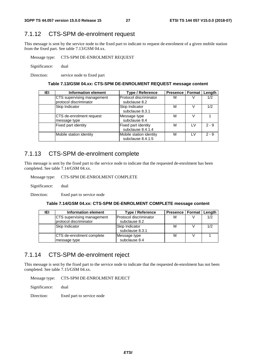## 7.1.12 CTS-SPM de-enrolment request

This message is sent by the service node to the fixed part to indicate to request de-enrolment of a given mobile station from the fixed part. See table 7.13/GSM 04.xx.

Message type: CTS-SPM DE-ENROLMENT REQUEST

Significance: dual

Direction: service node to fixed part

#### **Table 7.13/GSM 04.xx: CTS-SPM DE-ENROLMENT REQUEST message content**

| IEI | <b>Information element</b> | <b>Type / Reference</b> | <b>Presence</b> | <b>Format</b> | Length  |
|-----|----------------------------|-------------------------|-----------------|---------------|---------|
|     | CTS supervising management | Protocol discriminator  | М               |               | 1/2     |
|     | protocol discriminator     | subclause 8.2           |                 |               |         |
|     | Skip Indicator             | Skip Indicator          | М               |               | 1/2     |
|     |                            | subclause 8.3.1         |                 |               |         |
|     | ICTS de-enrolment request  | Message type            | М               |               |         |
|     | message type               | subclause 8.4           |                 |               |         |
|     | Fixed part identity        | Fixed part identity     | м               | I V           | $2 - 9$ |
|     |                            | subclause 8.4.1.4       |                 |               |         |
|     | Mobile station identity    | Mobile station identity | м               | I V           | $2 - 9$ |
|     |                            | subclause 8.4.1.5       |                 |               |         |

### 7.1.13 CTS-SPM de-enrolment complete

This message is sent by the fixed part to the service node to indicate that the requested de-enrolment has been completed. See table 7.14/GSM 04.xx.

Message type: CTS-SPM DE-ENROLMENT COMPLETE

Significance: dual

Direction: fixed part to service node

#### **Table 7.14/GSM 04.xx: CTS-SPM DE-ENROLMENT COMPLETE message content**

| IEI | Information element              | <b>Type / Reference</b> | <b>Presence   Format   Length</b> |     |
|-----|----------------------------------|-------------------------|-----------------------------------|-----|
|     | CTS supervising management       | Protocol discriminator  | M                                 | 1/2 |
|     | protocol discriminator           | subclause 8.2           |                                   |     |
|     | Skip Indicator                   | Skip Indicator          | M                                 | 1/2 |
|     |                                  | subclause 8.3.1         |                                   |     |
|     | <b>CTS</b> de-enrolment complete | Message type            | M                                 |     |
|     | message type                     | subclause 8.4           |                                   |     |

## 7.1.14 CTS-SPM de-enrolment reject

This message is sent by the fixed part to the service node to indicate that the requested de-enrolment has not been completed. See table 7.15/GSM 04.xx.

Message type: CTS-SPM DE-ENROLMENT REJECT

Significance: dual

Direction: fixed part to service node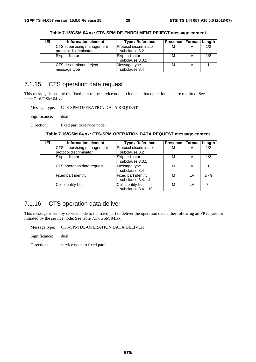| IEI | Information element             | Type / Reference       | Presence   Format   Length |     |
|-----|---------------------------------|------------------------|----------------------------|-----|
|     | CTS supervising management      | Protocol discriminator | М                          | 1/2 |
|     | protocol discriminator          | subclause 8.2          |                            |     |
|     | Skip Indicator                  | Skip Indicator         | м                          | 1/2 |
|     |                                 | subclause 8.3.1        |                            |     |
|     | <b>ICTS</b> de-enrolment reject | Message type           | М                          |     |
|     | message type                    | subclause 8.4          |                            |     |

**Table 7.15/GSM 04.xx: CTS-SPM DE-ENROLMENT REJECT message content** 

## 7.1.15 CTS operation data request

This message is sent by the fixed part to the service node to indicate that operation data are required. See table 7.16/GSM 04.xx.

Message type: CTS-SPM OPERATION DATA REQUEST

Significance: dual

Direction: fixed part to service node

| Table 7.16/GSM 04.xx: CTS-SPM OPERATION DATA REQUEST message content |  |  |
|----------------------------------------------------------------------|--|--|
|----------------------------------------------------------------------|--|--|

| IEI | <b>Information element</b>                           | <b>Type / Reference</b>                         | <b>Presence   Format  </b> |     | Length  |
|-----|------------------------------------------------------|-------------------------------------------------|----------------------------|-----|---------|
|     | CTS supervising management<br>protocol discriminator | Protocol discriminator<br>subclause 8.2         | М                          | v   | 1/2     |
|     | Skip Indicator                                       | Skip Indicator<br>subclause 8.3.1               | М                          | V   | 1/2     |
|     | CTS operation data request                           | Message type<br>subclause 8.4                   | М                          |     |         |
|     | Fixed part identity                                  | <b>Fixed part identity</b><br>subclause 8.4.1.4 | М                          | 1 V | $2 - 9$ |
|     | Cell identity list                                   | Cell identity list<br>subclause 8.4.1.10        | М                          | I V | 7n      |

## 7.1.16 CTS operation data deliver

This message is sent by service node to the fixed part to deliver the operation data either following an FP request or initiated by the service node. See table 7.17/GSM 04.xx.

Message type: CTS-SPM DE-OPERATION DATA DELIVER

Significance: dual

Direction: service node to fixed part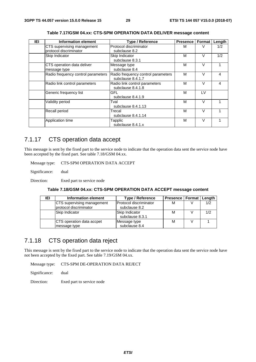| <b>IEI</b> | <b>Information element</b>         | Type / Reference                   | <b>Presence</b> | Format | Length |
|------------|------------------------------------|------------------------------------|-----------------|--------|--------|
|            | CTS supervising management         | Protocol discriminator             | м               |        | 1/2    |
|            | protocol discriminator             | subclause 8.2                      |                 |        |        |
|            | Skip Indicator                     | Skip Indicator                     | М               | V      | 1/2    |
|            |                                    | subclause 8.3.1                    |                 |        |        |
|            | CTS operation data deliver         | Message type                       | M               | V      |        |
|            | message type                       | subclause 8.4                      |                 |        |        |
|            | Radio frequency control parameters | Radio frequency control parameters | M               | V      | 4      |
|            |                                    | subclause 8.4.1.7                  |                 |        |        |
|            | Radio link control parameters      | Radio link control parameters      | M               | v      | 4      |
|            |                                    | subclause 8.4.1.8                  |                 |        |        |
|            | Generic frequency list             | GFL                                | M               | LV     |        |
|            |                                    | subclause 8.4.1.9                  |                 |        |        |
|            | Validity period                    | Tval                               | M               | $\vee$ |        |
|            |                                    | subclause 8.4.1.13                 |                 |        |        |
|            | Recall period                      | Trecal                             | M               | V      |        |
|            |                                    | subclause 8.4.1.14                 |                 |        |        |
|            | Application time                   | Tapplic                            | M               | V      |        |
|            |                                    | subclause 8.4.1.x                  |                 |        |        |

**Table 7.17/GSM 04.xx: CTS-SPM OPERATION DATA DELIVER message content** 

## 7.1.17 CTS operation data accept

This message is sent by the fixed part to the service node to indicate that the operation data sent the service node have been accepted by the fixed part. See table 7.18/GSM 04.xx.

Message type: CTS-SPM OPERATION DATA ACCEPT

Significance: dual

Direction: fixed part to service node

#### **Table 7.18/GSM 04.xx: CTS-SPM OPERATION DATA ACCEPT message content**

| IEI | Information element                                  | <b>Type / Reference</b>                         | Presence   Format   Length |     |
|-----|------------------------------------------------------|-------------------------------------------------|----------------------------|-----|
|     | CTS supervising management<br>protocol discriminator | <b>IProtocol discriminator</b><br>subclause 8.2 | М                          | 1/2 |
|     | Skip Indicator                                       | Skip Indicator<br>subclause 8.3.1               | М                          | 1/2 |
|     | CTS operation data accpet<br>message type            | Message type<br>subclause 8.4                   | М                          |     |

### 7.1.18 CTS operation data reject

This message is sent by the fixed part to the service node to indicate that the operation data sent the service node have not been accepted by the fixed part. See table 7.19/GSM 04.xx.

Message type: CTS-SPM DE-OPERATION DATA REJECT

Significance: dual

Direction: fixed part to service node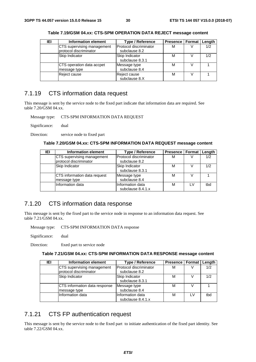| IEI | Information element        | <b>Type / Reference</b> | Presence   Format   Length |     |
|-----|----------------------------|-------------------------|----------------------------|-----|
|     | CTS supervising management | Protocol discriminator  | М                          | 1/2 |
|     | protocol discriminator     | subclause 8.2           |                            |     |
|     | Skip Indicator             | Skip Indicator          | М                          | 1/2 |
|     |                            | subclause 8.3.1         |                            |     |
|     | CTS operation data accpet  | Message type            | М                          |     |
|     | message type               | subclause 8.4           |                            |     |
|     | Reject cause               | Reject cause            | М                          |     |
|     |                            | subclause 8.X           |                            |     |

**Table 7.19/GSM 04.xx: CTS-SPM OPERATION DATA REJECT message content** 

## 7.1.19 CTS information data request

This message is sent by the service node to the fixed part indicate that information data are required. See table 7.20/GSM 04.xx.

Message type: CTS-SPM INFORMATION DATA REQUEST

Significance: dual

Direction: service node to fixed part

#### **Table 7.20/GSM 04.xx: CTS-SPM INFORMATION DATA REQUEST message content**

| IEI | Information element          | <b>Type / Reference</b> | Presence   Format   Length |     |     |
|-----|------------------------------|-------------------------|----------------------------|-----|-----|
|     | CTS supervising management   | Protocol discriminator  | М                          |     | 1/2 |
|     | protocol discriminator       | subclause 8.2           |                            |     |     |
|     | Skip Indicator               | Skip Indicator          | М                          |     | 1/2 |
|     |                              | subclause 8.3.1         |                            |     |     |
|     | CTS information data request | Message type            | М                          |     |     |
|     | message type                 | subclause 8.4           |                            |     |     |
|     | Information data             | Information data        | М                          | 1 V | tbd |
|     |                              | subclause 8.4.1.x       |                            |     |     |

## 7.1.20 CTS information data response

This message is sent by the fixed part to the service node in response to an information data request. See table 7.21/GSM 04.xx.

Message type: CTS-SPM INFORMATION DATA response

Significance: dual

Direction: fixed part to service node

#### **Table 7.21/GSM 04.xx: CTS-SPM INFORMATION DATA RESPONSE message content**

| IEI | Information element                                  | <b>Type / Reference</b>                 | Presence   Format   Length |     |     |
|-----|------------------------------------------------------|-----------------------------------------|----------------------------|-----|-----|
|     | CTS supervising management<br>protocol discriminator | Protocol discriminator<br>subclause 8.2 | M                          |     | 1/2 |
|     | Skip Indicator                                       | Skip Indicator<br>subclause 8.3.1       | M                          |     | 1/2 |
|     | CTS information data response<br>message type        | Message type<br>subclause 8.4           | M                          |     |     |
|     | Information data                                     | Information data<br>subclause 8.4.1.x   | M                          | I V | tbd |

## 7.1.21 CTS FP authentication request

This message is sent by the service node to the fixed part to initiate authentication of the fixed part identity. See table 7.22/GSM 04.xx.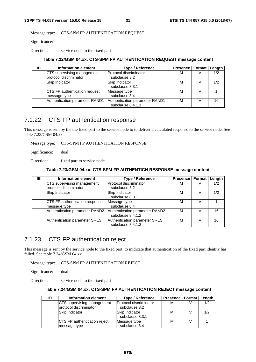Message type: CTS-SPM FP AUTHENTICATION REQUEST

Significance:

Direction: service node to the fixed part

#### **Table 7.22/GSM 04.xx: CTS-SPM FP AUTHENTICATION REQUEST message content**

| IEI | Information element            | Type / Reference               | Presence   Format   Length |     |
|-----|--------------------------------|--------------------------------|----------------------------|-----|
|     | CTS supervising management     | Protocol discriminator         | м                          | 1/2 |
|     | protocol discriminator         | subclause 8.2                  |                            |     |
|     | Skip Indicator                 | Skip Indicator                 | м                          | 1/2 |
|     |                                | subclause 8.3.1                |                            |     |
|     | CTS FP authentication request  | Message type                   | М                          |     |
|     | message type                   | subclause 8.4                  |                            |     |
|     | Authentication parameter RAND1 | Authentication parameter RAND1 | М                          | 16  |
|     |                                | subclause 8.4.1.1              |                            |     |

### 7.1.22 CTS FP authentication response

This message is sent by the the fixed part to the service node to to deliver a calculated response to the service node. See table 7.23/GSM 04.xx.

Message type: CTS-SPM FP AUTHENTICATION RESPONSE

Significance: dual

Direction: fixed part to service node

#### **Table 7.23/GSM 04.xx: CTS-SPM FP AUTHENTICN RESPONSE message content**

| IEI | Information element            | <b>Type / Reference</b>        | <b>Presence   Format</b> |   | Length |
|-----|--------------------------------|--------------------------------|--------------------------|---|--------|
|     | CTS supervising management     | Protocol discriminator         | м                        |   | 1/2    |
|     | protocol discriminator         | subclause 8.2                  |                          |   |        |
|     | Skip Indicator                 | Skip Indicator                 | м                        |   | 1/2    |
|     |                                | subclause 8.3.1                |                          |   |        |
|     | CTS FP authentication response | Message type                   | м                        | V |        |
|     | message type                   | subclause 8.4                  |                          |   |        |
|     | Authentication parameter RAND2 | Authentication parameter RAND2 | М                        |   | 16     |
|     |                                | subclause 8.4.1.2              |                          |   |        |
|     | Authentication parameter SRES  | Authentication parameter SRES  | М                        |   | 16     |
|     |                                | subclause 8.4.1.3              |                          |   |        |

## 7.1.23 CTS FP authentication reject

This message is sent by the service node to the fixed part to inidicate that authentication of the fixed part identity has failed. See table 7.24/GSM 04.xx.

Message type: CTS-SPM FP AUTHENTICATION REJECT

Significance: dual

Direction: service node to the fixed part

#### **Table 7.24/GSM 04.xx: CTS-SPM FP AUTHENTICATION REJECT message content**

| IEI | Information element                 | <b>Type / Reference</b> | Presence   Format   Length |     |
|-----|-------------------------------------|-------------------------|----------------------------|-----|
|     | CTS supervising management          | Protocol discriminator  | M                          | 1/2 |
|     | protocol discriminator              | subclause 8.2           |                            |     |
|     | Skip Indicator                      | Skip Indicator          | М                          | 1/2 |
|     |                                     | subclause 8.3.1         |                            |     |
|     | <b>CTS FP authentication reject</b> | Message type            | М                          |     |
|     | message type                        | subclause 8.4           |                            |     |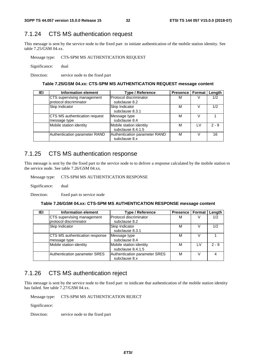## 7.1.24 CTS MS authentication request

This message is sent by the service node to the fixed part to initiate authentication of the mobile station identity. See table 7.25/GSM 04.xx.

Message type: CTS-SPM MS AUTHENTICATION REQUEST

Significance: dual

Direction: service node to the fixed part

#### **Table 7.25/GSM 04.xx: CTS-SPM MS AUTHENTICATION REQUEST message content**

| IEI | Information element           | <b>Type / Reference</b>       | Presence   Format   Length |     |         |
|-----|-------------------------------|-------------------------------|----------------------------|-----|---------|
|     | CTS supervising management    | Protocol discriminator        | м                          |     | 1/2     |
|     | protocol discriminator        | subclause 8.2                 |                            |     |         |
|     | Skip Indicator                | Skip Indicator                | М                          |     | 1/2     |
|     |                               | subclause 8.3.1               |                            |     |         |
|     | CTS MS authentication request | Message type                  | М                          | V   |         |
|     | message type                  | subclause 8.4                 |                            |     |         |
|     | Mobile station identity       | Mobile station identity       | М                          | 1 V | $2 - 9$ |
|     |                               | subclause 8.4.1.5             |                            |     |         |
|     | Authentication parameter RAND | Authentication parameter RAND | М                          |     | 16      |
|     |                               | subclause 8.x                 |                            |     |         |

## 7.1.25 CTS MS authentication response

This message is sent by the the fixed part to the service node to to deliver a response calculated by the mobile station to the service node. See table 7.26/GSM 04.xx.

Message type: CTS-SPM MS AUTHENTICATION RESPONSE

Significance: dual

Direction: fixed part to service node

#### **Table 7.26/GSM 04.xx: CTS-SPM MS AUTHENTICATION RESPONSE message content**

| IEI | <b>Information element</b>            | <b>Type / Reference</b>       | <b>Presence   Format</b> |     | Length  |
|-----|---------------------------------------|-------------------------------|--------------------------|-----|---------|
|     | CTS supervising management            | Protocol discriminator        | м                        |     | 1/2     |
|     | protocol discriminator                | subclause 8.2                 |                          |     |         |
|     | Skip Indicator                        | Skip Indicator                | М                        |     | 1/2     |
|     |                                       | subclause 8.3.1               |                          |     |         |
|     | <b>CTS MS authentication response</b> | Message type                  | м                        |     |         |
|     | message type                          | subclause 8.4                 |                          |     |         |
|     | Mobile station identity               | Mobile station identity       | М                        | 1 V | $2 - 9$ |
|     |                                       | subclause 8.4.1.5             |                          |     |         |
|     | Authentication parameter SRES         | Authentication parameter SRES | М                        |     |         |
|     |                                       | subclause 8.x                 |                          |     |         |

## 7.1.26 CTS MS authentication reject

This message is sent by the service node to the fixed part to inidicate that authentication of the mobile station identity has failed. See table 7.27/GSM 04.xx.

Message type: CTS-SPM MS AUTHENTICATION REJECT

Significance:

Direction: service node to the fixed part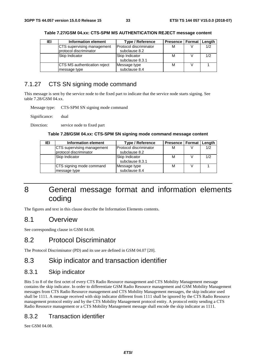| IEI | Information element                                  | Type / Reference                        | Presence   Format | Length |
|-----|------------------------------------------------------|-----------------------------------------|-------------------|--------|
|     | CTS supervising management<br>protocol discriminator | Protocol discriminator<br>subclause 8.2 | M                 | 1/2    |
|     | <b>Skip Indicator</b>                                | Skip Indicator<br>subclause 8.3.1       | M                 | 1/2    |
|     | <b>CTS MS authentication reject</b><br>message type  | Message type<br>subclause 8.4           | М                 |        |

**Table 7.27/GSM 04.xx: CTS-SPM MS AUTHENTICATION REJECT message content** 

## 7.1.27 CTS SN signing mode command

This message is sent by the service node to the fixed part to indicate that the service node starts signing. See table 7.28/GSM 04.xx.

Message type: CTS-SPM SN signing mode command

Significance: dual

Direction: service node to fixed part

#### **Table 7.28/GSM 04.xx: CTS-SPM SN signing mode command message content**

| IEI | Information element                                  | <b>Type / Reference</b>                 | Presence   Format   Length |     |
|-----|------------------------------------------------------|-----------------------------------------|----------------------------|-----|
|     | CTS supervising management<br>protocol discriminator | Protocol discriminator<br>subclause 8.2 | M                          | 1/2 |
|     | <b>Skip Indicator</b>                                | Skip Indicator<br>subclause 8.3.1       | М                          | 1/2 |
|     | CTS signing mode command<br>message type             | Message type<br>subclause 8.4           | М                          |     |

## 8 General message format and information elements coding

The figures and text in this clause describe the Information Elements contents.

### 8.1 Overview

See corresponding clause in GSM 04.08.

## 8.2 Protocol Discriminator

The Protocol Discriminator (PD) and its use are defined in GSM 04.07 [20].

## 8.3 Skip indicator and transaction identifier

#### 8.3.1 Skip indicator

Bits 5 to 8 of the first octet of every CTS Radio Resource management and CTS Mobility Management message contains the skip indicator. In order to differentiate GSM Radio Resource management and GSM Mobility Management messages from CTS Radio Resource management and CTS Mobility Management messages, the skip indicator used shall be 1111. A message received with skip indicator different from 1111 shall be ignored by the CTS Radio Resource management protocol entity and by the CTS Mobility Management protocol entity. A protocol entity sending a CTS Radio Resource management or a CTS Mobility Management message shall encode the skip indicator as 1111.

### 8.3.2 Transaction identifier

See GSM 04.08.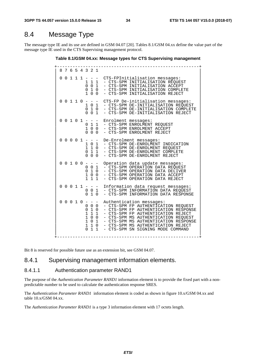## 8.4 Message Type

The message type IE and its use are defined in GSM 04.07 [20]. Tables 8.1/GSM 04.xx define the value part of the message type IE used in the CTS Supervising management protocol.

**Table 8.1/GSM 04.xx: Message types for CTS Supervising management** 

+-------------------------------------------------------+ | 8 7 6 5 4 3 2 1 | | |  $0 \t0 \t1 \t1 \t- -$  CTS-FPInitialisation messages:<br>1 1 1 - CTS-SPM INITIALISATION REQUE 1 1 1 - CTS-SPM INITIALISATION REQUEST<br>0 0 1 - CTS-SPM INITIALISATION ACCEPT  $\begin{bmatrix} 0 & 0 & 1 \ 0 & 0 & 1 \end{bmatrix}$  - CTS-SPM INITIALISATION COMPLET | 0 1 0 - CTS-SPM INITIALISATION COMPLETE | | 1 0 0 - CTS-SPM INITIALISATION REJECT | | |  $0 \t0 \t1 \t1 \t0 \t- -$  CTS-FP De-initialisation messages:<br>1 0 1 - CTS-SPM DE-INITIALISATION REQUES 1 0 1 - CTS-SPM DE-INITIALISATION REQUEST<br>0 1 0 - CTS-SPM DE-INITIALISATION COMPLET 0 1 0 - CTS-SPM DE-INITIALISATION COMPLETE<br>0 0 1 - CTS-SPM DE-INITIALISATION REJECT - CTS-SPM DE-INITIALISATION REJECT | |  $0 \t0 \t1 \t0 \t1 - - -$  Enrolment messages:<br> $0 \t1 \t- CTS-SPM$  ENROLMENT 0 1 1 - CTS-SPM ENROLMENT REQUEST<br>1 0 0 - CTS-SPM ENROLMENT ACCEPT 1 0 0 - CTS-SPM ENROLMENT ACCEPT<br>0 0 0 - CTS-SPM ENROLMENT REJECT - CTS-SPM ENROLMENT REJECT | | | 0 0 0 0 1 - - - De-Enrolment messages: | | 1 0 1 - CTS-SPM DE-ENROLMENT INDICATION | 1 1 0 - CTS-SPM DE-ENROLMENT REQUEST<br>0 1 1 - CTS-SPM DE-ENROLMENT COMPLET 0 1 1 - CTS-SPM DE-ENROLMENT COMPLETE<br>0 0 0 - CTS-SPM DE-ENROLMENT REJECT - CTS-SPM DE-ENROLMENT REJECT | |  $0 \t0 \t1 \t0 \t0 \t- -$  Operation data update messages:<br>0 0 1 - CTS-SPM OPERATION DATA REQUES | 0 0 1 - CTS-SPM OPERATION DATA REQUEST | | 0 1 0 - CTS-SPM OPERATION DATA DELIVER 1 0 0 - CTS-SPM OPERATION DATA ACCEPT<br>1 1 1 - CTS-SPM OPERATION DATA REJECT - CTS-SPM OPERATION DATA REJECT | |  $0 \t0 \t1 \t1 - - -$  Information data request messages: | 0 0 1 - CTS-SPM INFORMATION DATA REQUEST | | 0 1 0 - CTS-SPM INFORMATION DATA RESPONSE | | |  $0 \t0 \t0 \t1 \t0 - - -$  Authentication messages: | 0 0 0 - CTS-SPM FP AUTHENTICATION REQUEST | | 0 1 0 - CTS-SPM FP AUTHENTICATION RESPONSE | 1 1 1 - CTS-SPM FP AUTHENTICATION REJECT<br>1 0 0 - CTS-SPM MS AUTHENTICATION REQUEST 1 0 0 - CTS-SPM MS AUTHENTICATION REQUEST<br>1 0 1 - CTS-SPM MS AUTHENTICATION RESPONS 1 0 1 - CTS-SPM MS AUTHENTICATION RESPONSE<br>1 1 0 - CTS-SPM MS AUTHENTICATION REJECT | 1 1 0 - CTS-SPM MS AUTHENTICATION REJECT | 0 1 1 - CTS-SPM SN SIGNING MODE COMMAND | | +-------------------------------------------------------+

Bit 8 is reserved for possible future use as an extension bit, see GSM 04.07.

### 8.4.1 Supervising management information elements.

#### 8.4.1.1 Authentication parameter RAND1

The purpose of the *Authentication Parameter RAND1* information element is to provide the fixed part with a nonpredictable number to be used to calculate the authentication response SRES.

The *Authentication Parameter RAND1* information element is coded as shown in figure 10.x/GSM 04.xx and table 10.x/GSM 04.xx.

The *Authentication Parameter RAND1* is a type 3 information element with 17 octets length.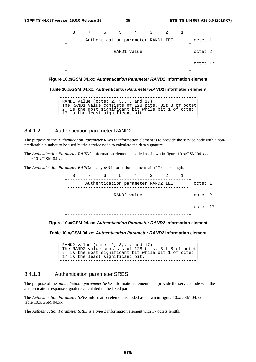![](_page_35_Figure_3.jpeg)

**Figure 10.x/GSM 04.xx:** *Authentication Parameter RAND1* **information element** 

**Table 10.x/GSM 04.xx:** *Authentication Parameter RAND1* **information element** 

```
+-----------------------------------------------------+ 
| RAND1 value (octet 2, 3,... and 17) |
| The RAND1 value consists of 128 bits. Bit 8 of octet| 
| 2 is the most significant bit while bit 1 of octet | 
| 17 is the least significant bit.
+-----------------------------------------------------+
```
#### 8.4.1.2 Authentication parameter RAND2

The purpose of the *Authentication Parameter RAND2* information element is to provide the service node with a nonpredictable number to be used by the service node to calculate the data signature .

The *Authentication Parameter RAND2* information element is coded as shown in figure 10.x/GSM 04.xx and table 10.x/GSM 04.xx.

The *Authentication Parameter RAND2* is a type 3 information element with 17 octets length.

![](_page_35_Figure_11.jpeg)

#### **Figure 10.x/GSM 04.xx:** *Authentication Parameter RAND2* **information element**

**Table 10.x/GSM 04.xx:** *Authentication Parameter RAND2* **information element** 

+-----------------------------------------------------+ | RAND2 value (octet 2, 3,... and 17) | | The RAND2 value consists of 128 bits. Bit 8 of octet| | 2 is the most significant bit while bit 1 of octet | 17 is the least significant bit. +-----------------------------------------------------+

#### 8.4.1.3 Authentication parameter SRES

The purpose of the *authentication parameter SRES* information element is to provide the service node with the authentication response signature calculated in the fixed part.

The *Authentication Parameter SRES* information element is coded as shown in figure 10.x/GSM 04.xx and table 10.x/GSM 04.xx.

The *Authentication Parameter SRES* is a type 3 information element with 17 octets length.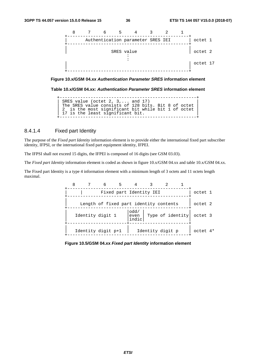![](_page_36_Figure_3.jpeg)

**Figure 10.x/GSM 04.xx** *Authentication Parameter SRES* **information element** 

**Table 10.x/GSM 04.xx:** *Authentication Parameter SRES* **information element** 

+-----------------------------------------------------+ | SRES value (octet 2, 3,... and 17) | | The SRES value consists of 128 bits. Bit 8 of octet | | 2 is the most significant bit while bit 1 of octet | | 17 is the least significant bit. +-----------------------------------------------------+

#### 8.4.1.4 Fixed part Identity

The purpose of the *Fixed part Identity* information element is to provide either the international fixed part subscriber identity, IFPSI, or the international fixed part equipment identity, IFPEI.

The IFPSI shall not exceed 15 digits, the IFPEI is composed of 16 digits (see GSM 03.03).

The *Fixed part Identity* information element is coded as shown in figure 10.x/GSM 04.xx and table 10.x/GSM 04.xx.

The Fixed part Identity is a type 4 information element with a minimum length of 3 octets and 11 octets length maximal.

| 8 | 6                                      |                         |                  |          |  |
|---|----------------------------------------|-------------------------|------------------|----------|--|
|   |                                        | Fixed part Identity IEI |                  | octet 1  |  |
|   | Length of fixed part identity contents |                         |                  | octet 2  |  |
|   | Identity digit 1                       | odd/<br>even<br>indic   | Type of identity | octet 3  |  |
|   | Identity digit p+1                     |                         | Identity digit p | octet 4* |  |

**Figure 10.5/GSM 04.xx** *Fixed part Identity* **information element**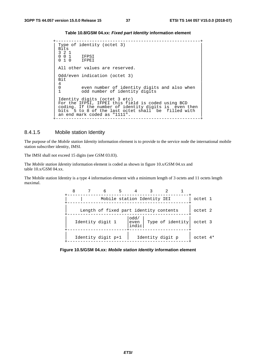#### **Table 10.8/GSM 04.xx:** *Fixed part Identity* **information element**

+--------------------------------------------------------+

```
Type of identity (octet 3)<br>Bits
\parallel Bits \parallel| 3 2 1 | 
| 0 0 1 IFPSI | 
| 0 1 0 IFPEI | 
| | 
All other values are reserved.
| | 
 Odd/even indication (octet 3)<br>Bit
| Bit |\begin{array}{|c|c|c|c|c|c|}\n\hline\n4 & 4 \\
\hline\n\end{array}0 even number of identity digits and also when 1 cdd number of identity digits
      odd number of identity digits
| | 
| Identity digits (octet 3 etc) | |
| For the IFPSI, IFPEI this field is coded using BCD |
| coding. If the number of identity digits is even then | 
| bits 5 to 8 of the last octet shall be filled with |
\vert an end mark coded as "1111".
+--------------------------------------------------------+
```
#### 8.4.1.5 Mobile station Identity

The purpose of the *Mobile station Identity* information element is to provide to the service node the international mobile station subscriber identity, IMSI.

The IMSI shall not exceed 15 digits (see GSM 03.03).

The *Mobile station Identity* information element is coded as shown in figure 10.x/GSM 04.xx and table 10.x/GSM 04.xx.

The Mobile station Identity is a type 4 information element with a minimum length of 3 octets and 11 octets length maximal.

| 8 | 6                                      | 5 |                       |                  |          |  |
|---|----------------------------------------|---|-----------------------|------------------|----------|--|
|   | Mobile station Identity IEI            |   |                       |                  | octet 1  |  |
|   | Length of fixed part identity contents |   |                       |                  | octet 2  |  |
|   | Identity digit 1                       |   | odd/<br>even<br>indic | Type of identity | octet 3  |  |
|   | Identity digit p+1                     |   |                       | Identity digit p | octet 4* |  |

**Figure 10.5/GSM 04.xx:** *Mobile station Identity* **information element**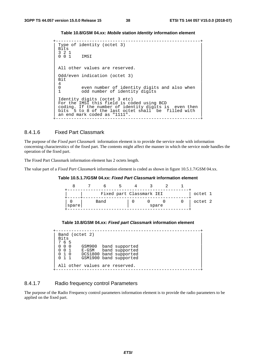**Table 10.8/GSM 04.xx:** *Mobile* **station** *Identity* **information element** 

```
+--------------------------------------------------------+ 
 Type of identity (octet 3)<br>Bits
\left| \right| Bits \left| \right|| 3 2 1 | 
| 0 0 1 IMSI | 
| | 
 All other values are reserved.
| | 
 Odd/even indication (octet 3)<br>Bit
| Bit |\begin{array}{|c|c|c|c|c|c|}\n\hline\n4 & 4 \\
\hline\n\end{array}0 even number of identity digits and also when 1 cdd number of identity digits
       odd number of identity digits
| | 
| Identity digits (octet 3 etc) | |
| For the IMSI this field is coded using BCD |
 coding. If the number of identity digits is even then<br>bits 5 to 8 of the last octet shall be filled with
     5 to 8 of the last octet shall be filled with
 an end mark coded as "1111".
+--------------------------------------------------------+
```
#### 8.4.1.6 Fixed Part Classmark

The purpose of the *Fixed part Classmark* information element is to provide the service node with information concerning charactersitics of the fixed part. The contents might affect the manner in which the service node handles the operation of the fixed part.

The Fixed Part Classmark information element has 2 octets length.

The value part of a *Fixed Part Classmark* information element is coded as shown in figure 10.5.1.7/GSM 04.xx.

#### **Table 10.5.1.7/GSM 04.xx:** *Fixed Part Classmark* **information element**

![](_page_38_Figure_10.jpeg)

#### **Table 10.8/GSM 04.xx:** *Fixed part Classmark* **information element**

|             | Band (octet 2)                 |                        |
|-------------|--------------------------------|------------------------|
| <b>Bits</b> |                                |                        |
| 7 6 5       |                                |                        |
| $00$ $00$   |                                | GSM900 band supported  |
| $0 \t0 \t1$ |                                | E-GSM band supported   |
| 010         |                                | DCS1800 band supported |
| $0 \t1 \t1$ |                                | GSM1900 band supported |
|             |                                |                        |
|             | All other values are reserved. |                        |
|             |                                |                        |

#### 8.4.1.7 Radio frequency control Parameters

The purpose of the Radio Frequency control parameters information element is to provide the radio parameters to be applied on the fixed part.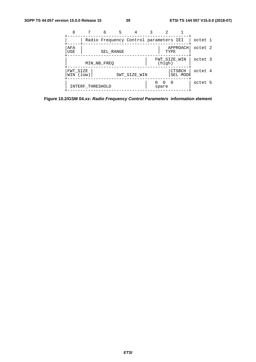|                       |                  | 6         | 5 |                                        |                        |                           |         |  |
|-----------------------|------------------|-----------|---|----------------------------------------|------------------------|---------------------------|---------|--|
|                       |                  |           |   | Radio Frequency Control parameters IEI |                        |                           | octet 1 |  |
| AFA<br>USE            |                  | SEL RANGE |   |                                        | TYPE.                  | APPROACH                  | octet 2 |  |
|                       | MIN NB FREO      |           |   |                                        | FWT SIZE WIN<br>(hiqh) |                           | octet 3 |  |
| FWT SIZE<br>WIN (low) |                  |           |   | SWT SIZE WIN                           |                        | <b>CTSBCH</b><br>SEL MODE | octet 4 |  |
|                       | INTERF THRESHOLD |           |   |                                        | - 0<br>$\cap$<br>spare |                           | octet 5 |  |

**Figure 10.2/GSM 04.xx:** *Radio Frequency Control Parameters* **information element**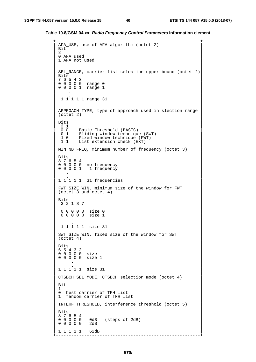**Table 10.8/GSM 04.xx:** *Radio Frequency Control Parameters* **information element** 

```
+--------------------------------------------------------+ 
AFA_USE, use of AFA algorithm (octet 2)<br>Bit
| \text{Bit}^- || 8 | 
0 AFA used
1 AFA not used
| | 
SEL_RANGE, carrier list selection upper bound (octet 2)<br>Bits
| \text{ bits }| 7 6 5 4 3 | 
| 0 0 0 0 0 range 0 | 
| 0 0 0 0 1 range 1 | 
\begin{bmatrix} 1 & 0 & 0 \\ 0 & 0 & 0 \\ 0 & 0 & 0 \end{bmatrix}| 1 1 1 1 1 range 31 | 
| | 
APPROACH TYPE, type of approach used in slection range
(octet 2)
| | 
| Bits || 2 1 | 
 2 1<br>0 0 Basic Threshold (BASIC)<br>0 1 Sliding window technigu
 0 1 Sliding window technique (SWT)<br>1 0 Fixed window technique (FWT)
 1 0 Fixed window technique (FWT)<br>1 1 List extension check (EXT)
| 1 1 List extension check (EXT) | |
| | 
MIN_NB_FREQ, minimum number of frequency (octet 3)
| | 
\vert Bits \vertBits<br>8 7 6 5 4
\begin{bmatrix} 0 & 0 & 0 & 0 & 0 & \text{no frequency} \end{bmatrix}\begin{bmatrix} 0 & 0 & 0 & 1 & 1 \end{bmatrix} frequency
| . | 
| 1 1 1 1 1 31 frequencies | 
| | 
| FWT_SIZE_WIN, minimum size of the window for FWT | 
\int (octet 3 and octet 4)
| | 
\parallel Bits \parallelBits<br>3 2 1 8 7
| | 
| 0 0 0 0 0 size 0 | 
| 0 0 0 0 0 size 1 | 
\mathbf{I} . \mathbf{I} . \mathbf{I} . \mathbf{I} . \mathbf{I} . \mathbf{I} . \mathbf{I} . \mathbf{I} . \mathbf{I} . \mathbf{I} . \mathbf{I} . \mathbf{I} . \mathbf{I} . \mathbf{I} . \mathbf{I} . \mathbf{I} . \mathbf{I} . \mathbf{I} . \mathbf{I} . \mathbf{I} . | 1 1 1 1 1 size 31 | 
| | 
SWT_SIZE_WIN, fixed size of the window for SWT
 (octet 4)| | 
| Bits || 6 5 4 3 2 | 
| 0 0 0 0 0 size | 
| 0 0 0 0 0 size 1 | 
| . | 
| 1 1 1 1 1 size 31 | 
| | 
| CTSBCH_SEL_MODE, CTSBCH selection mode (octet 4) | 
| | 
| Bit || 1 | 
| 0 best carrier of TFH list | 
 1 random carrier of TFH list
| | 
| INTERF_THRESHOLD, interference threshold (octet 5) | 
| | 
| Bits |Bits<br>8 7 6 5 4<br>0 0 0 0 0
       0dB (steps of 2dB)<br>2dB
0 \quad 0 \quad 0 \quad 0 \quad 0| | 
| 1 1 1 1 1 62dB | 
            +--------------------------------------------------------+
```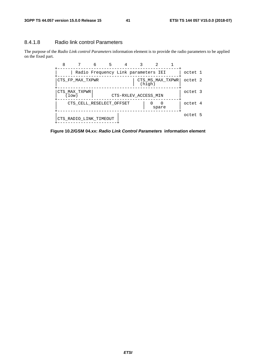#### 8.4.1.8 Radio link control Parameters

The purpose of the *Radio Link control Parameters* information element is to provide the radio parameters to be applied on the fixed part.

![](_page_41_Figure_5.jpeg)

**Figure 10.2/GSM 04.xx:** *Radio Link Control Parameters* **information element**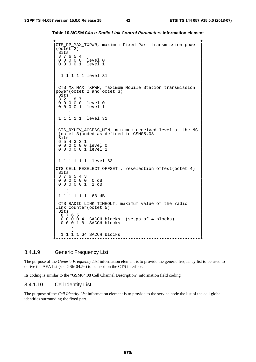```
Table 10.8/GSM 04.xx: Radio Link Control Parameters information element
```

```
|CTS_FP_MAX_TXPWR, maximum Fixed Part transmission power | 
(\overline{octet}^2)<br>Bits
| Bits |
 8 7 6 5 4<br>0 0 0 0 0 1 evel 0
 000000 0 0 0 0 1 level 1
| . | 
 | 1 1 1 1 1 level 31 | 
| | 
| CTS_MX_MAX_TXPWR, maximum Mobile Station transmission | 
|power(octet 2 and octet 3)||\text{bits}|| 3 2 1 8 7 | 
| 0 0 0 0 0 level 0 | 
 0 0 0 0 1 level 1
| . | 
 | 1 1 1 1 1 level 31 | 
| | 
 CTS RXLEV ACCESS MIN, minimum received level at the MS
 | (octet 3)coded as defined in GSM05.08 | 
\vert Bits \vert| 6 5 4 3 2 1 | 
 0 0 0 0 0 0 level 0
 0 0 0 0 0 1 level 1
\mathbf{I} . \mathbf{I} . The contract of the contract of the contract of the contract of the contract of the contract of the contract of the contract of the contract of the contract of the contract of the contract of the con
 | 1 1 1 1 1 1 level 63 | 
| | 
|CTS_CELL_RESELECT_OFFSET_, reselection offest(octet 4) | 
| \text{ bits }\begin{array}{ccccccccc}\n8 & 7 & 6 & 5 & 4 & 3 \\
0 & 0 & 0 & 0 & 0 & 0 & 0 & 0 \\
\end{array}0 0 0 0 0 0
 0 0 0 0 0 1 1 dB
\| \cdot \| . \|1 1 1 1 1 1 63 dB
| | 
 | CTS_RADIO_LINK_TIMEOUT, maximum value of the radio | 
link counter(octet 5)<br>Bits
\parallel Bits \parallel| 8 7 6 5 | 
| 0 0 0 0 4 SACCH blocks (setps of 4 blocks) |
  0 0 0 1 8 SACCH blocks
| . | 
  | 1 1 1 1 64 SACCH blocks | 
                   +--------------------------------------------------------+
```
#### 8.4.1.9 Generic Frequency List

The purpose of the *Generic Frequency List* information element is to provide the generic frequency list to be used to derive the AFA list (see GSM04.56) to be used on the CTS interface.

Its coding is similar to the "GSM04.08 Cell Channel Description" information field coding.

#### 8.4.1.10 Cell Identity List

The purpose of the *Cell Identity List* information element is to provide to the service node the list of the cell global identities surrounding the fixed part.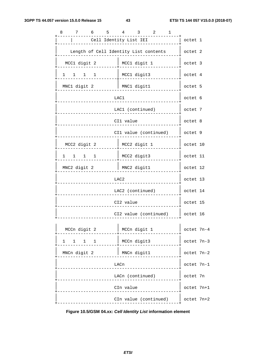| 8 | 7                                                      | 6                                     | -5 | $\overline{4}$         | $\overline{\mathbf{3}}$ | $\overline{\phantom{a}}^2$ | 1 |            |  |
|---|--------------------------------------------------------|---------------------------------------|----|------------------------|-------------------------|----------------------------|---|------------|--|
|   |                                                        |                                       |    | Cell Identity List IEI |                         |                            |   | octet 1    |  |
|   |                                                        | Length of Cell Identity List contents |    |                        |                         |                            |   | octet 2    |  |
|   | MCC1 digit 2                                           |                                       |    |                        | MCC1 digit 1            |                            |   | octet 3    |  |
|   | $\begin{array}{ccccccccc}\n1 & 1 & 1 & 1\n\end{array}$ |                                       |    |                        | MCC1 digit3             |                            |   | octet 4    |  |
|   | MNC1 digit 2                                           |                                       |    |                        | MNC1 digit1             |                            |   | octet 5    |  |
|   |                                                        |                                       |    | LAC1                   |                         |                            |   | octet 6    |  |
|   |                                                        |                                       |    | LAC1 (continued)       |                         |                            |   | octet 7    |  |
|   |                                                        |                                       |    | CI1 value              |                         |                            |   | octet 8    |  |
|   |                                                        |                                       |    | CI1 value (continued)  |                         |                            |   | octet 9    |  |
|   | MCC2 digit 2                                           |                                       |    |                        | MCC2 digit 1            |                            |   | octet 10   |  |
|   | $\begin{matrix} 1 & 1 & 1 & 1 \end{matrix}$            |                                       |    |                        | MCC2 digit3             |                            |   | octet 11   |  |
|   | MNC2 digit 2                                           |                                       |    |                        | MNC2 digit1             |                            |   | octet 12   |  |
|   |                                                        |                                       |    | LAC <sub>2</sub>       |                         |                            |   | octet 13   |  |
|   |                                                        |                                       |    | LAC2 (continued)       |                         |                            |   | octet 14   |  |
|   |                                                        |                                       |    | CI2 value              |                         |                            |   | octet 15   |  |
|   |                                                        |                                       |    | CI2 value (continued)  |                         |                            |   | octet 16   |  |
|   | MCCn digit 2                                           |                                       |    |                        | MCCn digit 1            |                            |   | octet 7n-4 |  |
|   | $1 \quad$<br>$1 \quad \blacksquare$                    | $1 \quad 1$                           |    |                        | MCCn digit3             |                            |   | octet 7n-3 |  |
|   | MNCn digit 2                                           |                                       |    |                        | MNCn digit1             |                            |   | octet 7n-2 |  |
|   |                                                        |                                       |    | LACn                   |                         |                            |   | octet 7n-1 |  |
|   |                                                        |                                       |    | LACn (continued)       |                         |                            |   | octet 7n   |  |
|   |                                                        |                                       |    | CIn value              |                         |                            |   | octet 7n+1 |  |
|   |                                                        |                                       |    | CIn value (continued)  |                         |                            |   | octet 7n+2 |  |

**Figure 10.5/GSM 04.xx:** *Cell Identity List* **information element**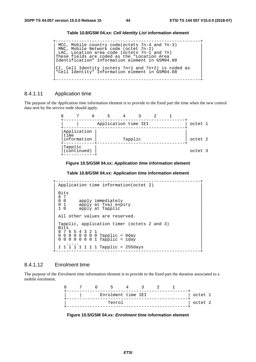**Table 10.8/GSM 04.xx:** *Cell Identity List* **information element** 

```
+--------------------------------------------------------+ 
| MCC, Mobile country code(octets 7n-4 and 7n-3) |
| MNC, Mobile Network code (octet 7n-2)
| LAC, Location area code (octets 7n-1 and 7n) |
These fields are coded as the "Location Area
|Identification" Information element in GSM04.08 | 
| | 
|CI, Cell Identity (octets 7n+1 and 7n+2) is coded as || "Cell Identity" Information element in GSM04.08
| | 
+--------------------------------------------------------+
```
#### 8.4.1.11 Application time

The purpose of the *Application time* information element is to provide to the fixed part the time when the new control data sent by the service node should apply.

| 8 |                                    |                      |         |  |  |         |
|---|------------------------------------|----------------------|---------|--|--|---------|
|   |                                    | Application time IEI |         |  |  | octet 1 |
|   | Application<br>time<br>information |                      | Tapplic |  |  | octet 2 |
|   | Tapplic<br>(continued)             |                      |         |  |  | octet 3 |

**Figure 10.5/GSM 04.xx:** *Application time* **information element** 

**Table 10.8/GSM 04.xx: Application time information element** 

```
+--------------------------------------------------------+ 
Application time information(octet 2)
| | 
\vert Bits \vert| 8 7 | 
| 0 0 apply immediately \blacksquare| 0 1 apply at Tval expiry | 
| 1 0 apply at Tapplic | 
| | 
All other values are reserved.
| | 
Tapplic, application timer (octets 2 and 3) Bits
\parallel Bits \parallel \parallel| 8 7 6 5 4 3 2 1 | 
| 0 0 0 0 0 0 0 0 Tapplic = 0day | 
0 \t0 \t0 \t0 \t0 \t0 \t0 \t1 Tapplic = 1day
| ..... | 
| 1 1 1 1 1 1 1 1 Tapplic = 255days | 
+--------------------------------------------------------+
```
#### 8.4.1.12 Enrolment time

The purpose of the *Enrolment time* information element is to provide to the fixed part the duration associated to a mobile enrolment.

| Я |  |                    |  |  |         |
|---|--|--------------------|--|--|---------|
|   |  | Enrolment time IEI |  |  | octet 1 |
|   |  | Tenrol             |  |  | octet 2 |

![](_page_44_Figure_14.jpeg)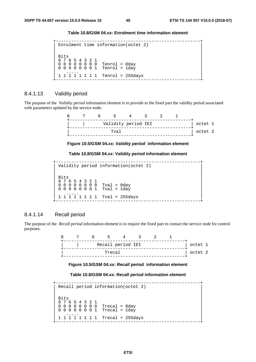#### **Table 10.8/GSM 04.xx: Enrolment time information element**

```
+--------------------------------------------------------+ 
Enrolment time information(octet 2)
| | 
| \text{ bits }| 8 7 6 5 4 3 2 1 | 
| 0 0 0 0 0 0 0 0 Tenrol = 0day | 
0 0 0 0 0 0 0 1 Tenrol = 1day
| ..... | 
| 1 1 1 1 1 1 1 1 Tenrol = 255days | 
+--------------------------------------------------------+
```
#### 8.4.1.13 Validity period

The purpose of the *Validity period* information element is to provide to the fixed part the validity period associated with parameters updated by the service node.

|  | Validity period IEI |  |  | octet 1 |  |
|--|---------------------|--|--|---------|--|
|  | Tval                |  |  | octet 2 |  |

**Figure 10.5/GSM 04.xx:** *Validity period* **information element** 

**Table 10.8/GSM 04.xx: Validity period information element** 

+--------------------------------------------------------+ | Validity period information(octet 2) | | |  $\vert$  Bits  $\vert$ | 8 7 6 5 4 3 2 1 | | 0 0 0 0 0 0 0 0 Tval = 0day |  $\begin{bmatrix} 0 & 0 & 0 & 0 & 0 & 0 & 1 \\ 0 & 0 & 0 & 0 & 0 & 0 & 1 \end{bmatrix}$  Tval = 1day | ..... | | 1 1 1 1 1 1 1 1 Tval = 255days | .<br>+----------------------------

#### 8.4.1.14 Recall period

The purpose of the *Recall period* information element is to require the fixed part to contact the service node for control purposes.

> 8 7 6 5 4 3 2 1 +-----------------------------------------------+ Recall period IEI +-----------------------------------------------+ Trecal and  $|$  octet 2 +-----------------------------------------------+

**Figure 10.5/GSM 04.xx:** *Recall* **period****information element** 

#### **Table 10.8/GSM 04.xx: Recall period information element**

```
+--------------------------------------------------------+ 
Recall period information(octet 2)
| | 
\parallel Bits \parallel| 8 7 6 5 4 3 2 1 | 
| 0 0 0 0 0 0 0 0 Trecal = 0day | 
| 0 0 0 0 0 0 0 1 Trecal = 1day | 
| ..... | 
1 1 1 1 1 1 1 1  Trecal = 255days
                    +--------------------------------------------------------+
```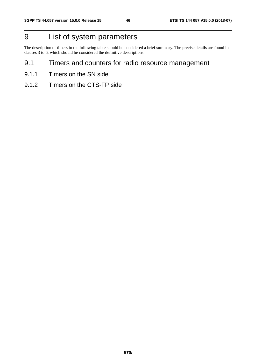## 9 List of system parameters

The description of timers in the following table should be considered a brief summary. The precise details are found in clauses 3 to 6, which should be considered the definitive descriptions.

- 9.1 Timers and counters for radio resource management
- 9.1.1 Timers on the SN side
- 9.1.2 Timers on the CTS-FP side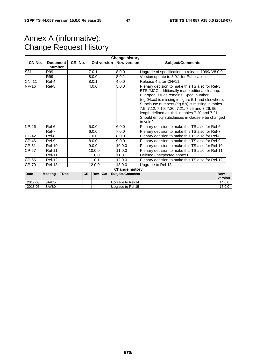## Annex A (informative): Change Request History

| <b>Change history</b> |                                                                                                                                                                                                                                                                                                                                                                                                                                                    |             |           |            |                   |                                |                                                   |                       |  |
|-----------------------|----------------------------------------------------------------------------------------------------------------------------------------------------------------------------------------------------------------------------------------------------------------------------------------------------------------------------------------------------------------------------------------------------------------------------------------------------|-------------|-----------|------------|-------------------|--------------------------------|---------------------------------------------------|-----------------------|--|
| CN No.                | <b>Document</b><br>number                                                                                                                                                                                                                                                                                                                                                                                                                          |             | CR. No.   |            | Old version       | <b>New version</b>             | <b>Subject/Comments</b>                           |                       |  |
| S31                   | R99                                                                                                                                                                                                                                                                                                                                                                                                                                                |             |           | 7.0.1      |                   | 0.0.8                          | Upgrade of specification to release 1999/ V8.0.0  |                       |  |
|                       | R99                                                                                                                                                                                                                                                                                                                                                                                                                                                |             |           | 0.0.8      |                   | 8.0.1                          | Version update to 8.0.1 for Publication           |                       |  |
| CN#11                 | Rel-4                                                                                                                                                                                                                                                                                                                                                                                                                                              |             |           | 8.0.1      |                   | Release 4 after CN#11<br>4.0.0 |                                                   |                       |  |
| <b>NP-16</b>          | 5.0.0<br>Rel-5<br>4.0.0<br>Plenary decision to make this TS also for Rel-5.<br>ETSI/MCC additionally made editorial cleanup.<br>But open issues remains: Spec. number<br>(eg.04.xx) is missing in figure 5.1 and elsewhere.<br>Subclause numbers (eg.8.x) is missing in tables<br>7.5, 7.12, 7.19, 7.20, 7.21, 7.25 and 7.26. IE<br>length defined as 'tbd' in tables 7.20 and 7.21.<br>Should empty subclauses in clause 9 be changed<br>to void? |             |           |            |                   |                                |                                                   |                       |  |
| <b>NP-26</b>          | Rel-6                                                                                                                                                                                                                                                                                                                                                                                                                                              |             |           | 5.0.0      |                   | 6.0.0                          | Plenary decision to make this TS also for Rel-6.  |                       |  |
|                       | Rel-7                                                                                                                                                                                                                                                                                                                                                                                                                                              |             |           | 0.0.06     |                   | 7.0.0                          | Plenary decision to make this TS also for Rel-7.  |                       |  |
| CP-42                 | Rel-8                                                                                                                                                                                                                                                                                                                                                                                                                                              |             |           | 7.0.0      |                   | 0.0.8                          | Plenary decision to make this TS also for Rel-8.  |                       |  |
| $CP-46$               | Rel-9                                                                                                                                                                                                                                                                                                                                                                                                                                              |             |           | 0.0.8      |                   | 9.0.0                          | Plenary decision to make this TS also for Rel-9.  |                       |  |
| CP-51                 | <b>Rel-10</b>                                                                                                                                                                                                                                                                                                                                                                                                                                      |             |           | 9.0.0      |                   | 10.0.0                         | Plenary decision to make this TS also for Rel-10. |                       |  |
| <b>CP-57</b>          | <b>Rel-11</b>                                                                                                                                                                                                                                                                                                                                                                                                                                      |             |           | 10.0.0     |                   | 11.0.0                         | Plenary decision to make this TS also for Rel-11. |                       |  |
|                       | <b>Rel-11</b>                                                                                                                                                                                                                                                                                                                                                                                                                                      |             |           | 11.0.0     |                   | 11.0.1                         | Deleted unexpected annex L                        |                       |  |
| CP-65                 | <b>Rel-12</b>                                                                                                                                                                                                                                                                                                                                                                                                                                      |             |           | 11.0.1     |                   | 12.0.0                         | Plenary decision to make this TS also for Rel-12. |                       |  |
| CP-70                 | <b>Rel-13</b>                                                                                                                                                                                                                                                                                                                                                                                                                                      |             |           | 12.0.0     |                   | 13.0.0                         | Upgrade to Rel-13                                 |                       |  |
|                       |                                                                                                                                                                                                                                                                                                                                                                                                                                                    |             |           |            |                   | <b>Change history</b>          |                                                   |                       |  |
| <b>Date</b>           | <b>Meeting</b>                                                                                                                                                                                                                                                                                                                                                                                                                                     | <b>TDoc</b> | <b>CR</b> | <b>Rev</b> | Cat               | Subject/Comment                |                                                   | <b>New</b><br>version |  |
| 2017-03               | SA#75                                                                                                                                                                                                                                                                                                                                                                                                                                              |             |           |            |                   | Upgrade to Rel-14              |                                                   | 14.0.0                |  |
| 2018-06               | SA#80                                                                                                                                                                                                                                                                                                                                                                                                                                              |             |           |            | Upgrade to Rel-15 |                                |                                                   | 15.0.0                |  |